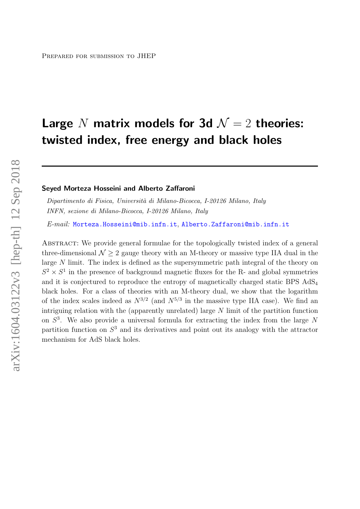# Large N matrix models for 3d  $\mathcal{N}=2$  theories: twisted index, free energy and black holes

#### Seyed Morteza Hosseini and Alberto Zaffaroni

Dipartimento di Fisica, Università di Milano-Bicocca, I-20126 Milano, Italy INFN, sezione di Milano-Bicocca, I-20126 Milano, Italy

E-mail: [Morteza.Hosseini@mib.infn.it](mailto:Morteza.Hosseini@mib.infn.it), [Alberto.Zaffaroni@mib.infn.it](mailto:Alberto.Zaffaroni@mib.infn.it)

ABSTRACT: We provide general formulae for the topologically twisted index of a general three-dimensional  $\mathcal{N} > 2$  gauge theory with an M-theory or massive type IIA dual in the large N limit. The index is defined as the supersymmetric path integral of the theory on  $S^2 \times S^1$  in the presence of background magnetic fluxes for the R- and global symmetries and it is conjectured to reproduce the entropy of magnetically charged static BPS AdS<sup>4</sup> black holes. For a class of theories with an M-theory dual, we show that the logarithm of the index scales indeed as  $N^{3/2}$  (and  $N^{5/3}$  in the massive type IIA case). We find an intriguing relation with the (apparently unrelated) large  $N$  limit of the partition function on  $S<sup>3</sup>$ . We also provide a universal formula for extracting the index from the large N partition function on S <sup>3</sup> and its derivatives and point out its analogy with the attractor mechanism for AdS black holes.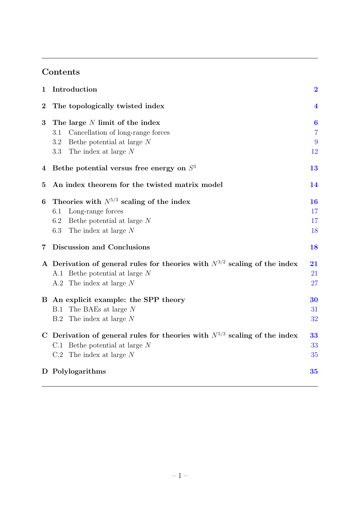## Contents

| $\mathbf 1$             | Introduction                                                                   | $\overline{\mathbf{2}}$ |
|-------------------------|--------------------------------------------------------------------------------|-------------------------|
| $\overline{2}$          | The topologically twisted index                                                | $\overline{\mathbf{4}}$ |
| 3                       | The large $N$ limit of the index                                               | $\boldsymbol{6}$        |
|                         | Cancellation of long-range forces<br>3.1                                       | $\overline{7}$          |
|                         | Bethe potential at large $N$<br>3.2                                            | 9                       |
|                         | The index at large $N$<br>3.3                                                  | 12                      |
| 4                       | Bethe potential versus free energy on $S3$                                     | 13                      |
| $\bf{5}$                | An index theorem for the twisted matrix model                                  | 14                      |
| 6                       | Theories with $N^{5/3}$ scaling of the index                                   | <b>16</b>               |
|                         | Long-range forces<br>6.1                                                       | 17                      |
|                         | Bethe potential at large $N$<br>6.2                                            | 17                      |
|                         | 6.3<br>The index at large N                                                    | 18                      |
| $\overline{\mathbf{7}}$ | Discussion and Conclusions                                                     | 18                      |
|                         | A Derivation of general rules for theories with $N^{3/2}$ scaling of the index | 21                      |
|                         | A.1 Bethe potential at large $N$                                               | 21                      |
|                         | A.2 The index at large $N$                                                     | 27                      |
|                         | B An explicit example: the SPP theory                                          | 30                      |
|                         | The BAEs at large N<br><b>B.1</b>                                              | 31                      |
|                         | The index at large $N$<br>B.2                                                  | 32                      |
|                         | C Derivation of general rules for theories with $N^{5/3}$ scaling of the index | 33                      |
|                         | C.1 Bethe potential at large $N$                                               | 33                      |
|                         | $C.2$ The index at large N                                                     | 35                      |
|                         | D Polylogarithms                                                               | 35                      |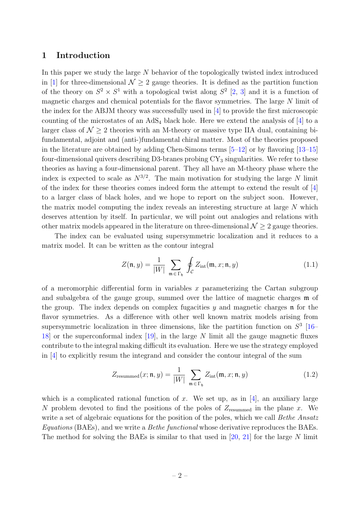### <span id="page-2-0"></span>1 Introduction

In this paper we study the large N behavior of the topologically twisted index introduced in [\[1\]](#page-36-0) for three-dimensional  $\mathcal{N} \geq 2$  gauge theories. It is defined as the partition function of the theory on  $S^2 \times S^1$  with a topological twist along  $S^2$  [\[2,](#page-36-1) [3\]](#page-36-2) and it is a function of magnetic charges and chemical potentials for the flavor symmetries. The large N limit of the index for the ABJM theory was successfully used in [\[4\]](#page-36-3) to provide the first microscopic counting of the microstates of an  $AdS_4$  black hole. Here we extend the analysis of  $[4]$  to a larger class of  $\mathcal{N} > 2$  theories with an M-theory or massive type IIA dual, containing bifundamental, adjoint and (anti-)fundamental chiral matter. Most of the theories proposed in the literature are obtained by adding Chen-Simons terms  $[5-12]$  $[5-12]$  or by flavoring  $[13-15]$  $[13-15]$ four-dimensional quivers describing D3-branes probing  $CY_3$  singularities. We refer to these theories as having a four-dimensional parent. They all have an M-theory phase where the index is expected to scale as  $N^{3/2}$ . The main motivation for studying the large N limit of the index for these theories comes indeed form the attempt to extend the result of [\[4\]](#page-36-3) to a larger class of black holes, and we hope to report on the subject soon. However, the matrix model computing the index reveals an interesting structure at large N which deserves attention by itself. In particular, we will point out analogies and relations with other matrix models appeared in the literature on three-dimensional  $\mathcal{N} \geq 2$  gauge theories.

The index can be evaluated using supersymmetric localization and it reduces to a matrix model. It can be written as the contour integral

$$
Z(\mathfrak{n}, y) = \frac{1}{|W|} \sum_{\mathfrak{m} \in \Gamma_{\mathfrak{h}}} \oint_{\mathcal{C}} Z_{\text{int}}(\mathfrak{m}, x; \mathfrak{n}, y) \tag{1.1}
$$

of a meromorphic differential form in variables x parameterizing the Cartan subgroup and subalgebra of the gauge group, summed over the lattice of magnetic charges m of the group. The index depends on complex fugacities  $y$  and magnetic charges  $\mathfrak n$  for the flavor symmetries. As a difference with other well known matrix models arising from supersymmetric localization in three dimensions, like the partition function on  $S^3$  [\[16–](#page-37-3) [18\]](#page-37-4) or the superconformal index [\[19\]](#page-37-5), in the large N limit all the gauge magnetic fluxes contribute to the integral making difficult its evaluation. Here we use the strategy employed in [\[4\]](#page-36-3) to explicitly resum the integrand and consider the contour integral of the sum

$$
Z_{\text{resummed}}(x; \mathfrak{n}, y) = \frac{1}{|W|} \sum_{\mathfrak{m} \in \Gamma_{\mathfrak{h}}} Z_{\text{int}}(\mathfrak{m}, x; \mathfrak{n}, y) \tag{1.2}
$$

which is a complicated rational function of x. We set up, as in  $[4]$ , an auxiliary large N problem devoted to find the positions of the poles of  $Z_{\text{resummed}}$  in the plane x. We write a set of algebraic equations for the position of the poles, which we call Bethe Ansatz Equations (BAEs), and we write a Bethe functional whose derivative reproduces the BAEs. The method for solving the BAEs is similar to that used in  $[20, 21]$  $[20, 21]$  for the large N limit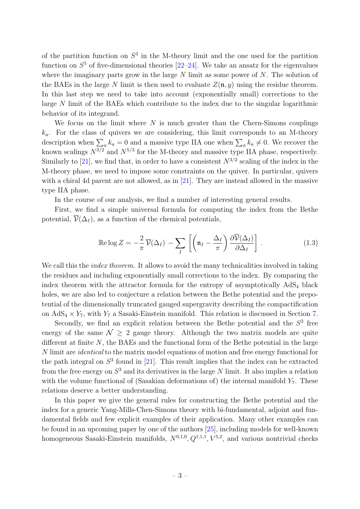of the partition function on  $S^3$  in the M-theory limit and the one used for the partition function on  $S<sup>5</sup>$  of five-dimensional theories  $[22-24]$  $[22-24]$ . We take an ansatz for the eigenvalues where the imaginary parts grow in the large  $N$  limit as some power of  $N$ . The solution of the BAEs in the large N limit is then used to evaluate  $Z(\mathfrak{n}, y)$  using the residue theorem. In this last step we need to take into account (exponentially small) corrections to the large N limit of the BAEs which contribute to the index due to the singular logarithmic behavior of its integrand.

We focus on the limit where  $N$  is much greater than the Chern-Simons couplings  $k_a$ . For the class of quivers we are considering, this limit corresponds to an M-theory description when  $\sum_{a} k_a = 0$  and a massive type IIA one when  $\sum_{a} k_a \neq 0$ . We recover the known scalings  $N^{3/2}$  and  $N^{5/3}$  for the M-theory and massive type IIA phase, respectively. Similarly to [\[21\]](#page-37-7), we find that, in order to have a consistent  $N^{3/2}$  scaling of the index in the M-theory phase, we need to impose some constraints on the quiver. In particular, quivers with a chiral 4d parent are not allowed, as in [\[21\]](#page-37-7). They are instead allowed in the massive type IIA phase.

In the course of our analysis, we find a number of interesting general results.

First, we find a simple universal formula for computing the index from the Bethe potential,  $\overline{\mathcal{V}}(\Delta_I)$ , as a function of the chemical potentials,

$$
\operatorname{Re}\log Z = -\frac{2}{\pi}\overline{\mathcal{V}}(\Delta_I) - \sum_{I} \left[ \left( \mathfrak{n}_I - \frac{\Delta_I}{\pi} \right) \frac{\partial \overline{\mathcal{V}}(\Delta_I)}{\partial \Delta_I} \right]. \tag{1.3}
$$

We call this the *index theorem*. It allows to avoid the many technicalities involved in taking the residues and including exponentially small corrections to the index. By comparing the index theorem with the attractor formula for the entropy of asymptotically  $AdS_4$  black holes, we are also led to conjecture a relation between the Bethe potential and the prepotential of the dimensionally truncated gauged supergravity describing the compactification on  $AdS_4 \times Y_7$ , with  $Y_7$  a Sasaki-Einstein manifold. This relation is discussed in Section [7.](#page-18-1)

Secondly, we find an explicit relation between the Bethe potential and the  $S<sup>3</sup>$  free energy of the same  $\mathcal{N} \geq 2$  gauge theory. Although the two matrix models are quite different at finite  $N$ , the BAEs and the functional form of the Bethe potential in the large N limit are identical to the matrix model equations of motion and free energy functional for the path integral on  $S<sup>3</sup>$  found in [\[21\]](#page-37-7). This result implies that the index can be extracted from the free energy on  $S^3$  and its derivatives in the large N limit. It also implies a relation with the volume functional of (Sasakian deformations of) the internal manifold  $Y_7$ . These relations deserve a better understanding.

In this paper we give the general rules for constructing the Bethe potential and the index for a generic Yang-Mills-Chen-Simons theory with bi-fundamental, adjoint and fundamental fields and few explicit examples of their application. Many other examples can be found in an upcoming paper by one of the authors [\[25\]](#page-37-10), including models for well-known homogeneous Sasaki-Einstein manifolds,  $N^{0,1,0}, Q^{1,1,1}, V^{5,2}$ , and various nontrivial checks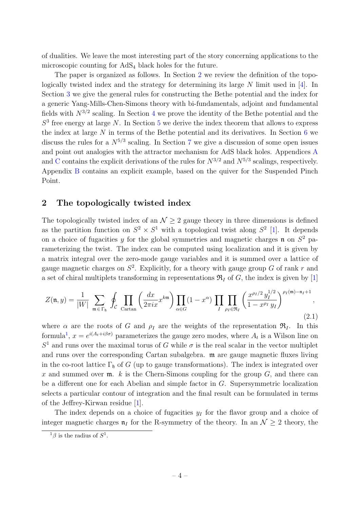of dualities. We leave the most interesting part of the story concerning applications to the microscopic counting for AdS<sup>4</sup> black holes for the future.

The paper is organized as follows. In Section [2](#page-4-0) we review the definition of the topologically twisted index and the strategy for determining its large N limit used in [\[4\]](#page-36-3). In Section [3](#page-6-0) we give the general rules for constructing the Bethe potential and the index for a generic Yang-Mills-Chen-Simons theory with bi-fundamentals, adjoint and fundamental fields with  $N^{3/2}$  scaling. In Section [4](#page-13-0) we prove the identity of the Bethe potential and the  $S<sup>3</sup>$  free energy at large N. In Section [5](#page-14-0) we derive the index theorem that allows to express the index at large  $N$  in terms of the Bethe potential and its derivatives. In Section  $6$  we discuss the rules for a  $N^{5/3}$  scaling. In Section [7](#page-18-1) we give a discussion of some open issues and point out analogies with the attractor mechanism for AdS black holes. Appendices [A](#page-21-0) and [C](#page-33-0) contains the explicit derivations of the rules for  $N^{3/2}$  and  $N^{5/3}$  scalings, respectively. Appendix [B](#page-30-0) contains an explicit example, based on the quiver for the Suspended Pinch Point.

## <span id="page-4-0"></span>2 The topologically twisted index

The topologically twisted index of an  $\mathcal{N} \geq 2$  gauge theory in three dimensions is defined as the partition function on  $S^2 \times S^1$  with a topological twist along  $S^2$  [\[1\]](#page-36-0). It depends on a choice of fugacities y for the global symmetries and magnetic charges  $\mathfrak n$  on  $S^2$  parameterizing the twist. The index can be computed using localization and it is given by a matrix integral over the zero-mode gauge variables and it is summed over a lattice of gauge magnetic charges on  $S^2$ . Explicitly, for a theory with gauge group G of rank r and a set of chiral multiplets transforming in representations  $\mathfrak{R}_I$  of G, the index is given by [\[1\]](#page-36-0)

<span id="page-4-2"></span>
$$
Z(\mathfrak{n},y) = \frac{1}{|W|} \sum_{\mathfrak{m} \in \Gamma_{\mathfrak{h}}} \oint_{\mathcal{C}} \prod_{\text{Cartan}} \left( \frac{dx}{2\pi ix} x^{km} \right) \prod_{\alpha \in G} (1-x^{\alpha}) \prod_{I} \prod_{\rho_{I} \in \mathfrak{R}_{I}} \left( \frac{x^{\rho_{I}/2} y_{I}^{1/2}}{1-x^{\rho_{I}}} y_{I} \right)^{\rho_{I}(\mathfrak{m})-\mathfrak{n}_{I}+1},\tag{2.1}
$$

where  $\alpha$  are the roots of G and  $\rho_I$  are the weights of the representation  $\mathfrak{R}_I$ . In this formula<sup>[1](#page-4-1)</sup>,  $x = e^{i(A_t + i\beta\sigma)}$  parameterizes the gauge zero modes, where  $A_t$  is a Wilson line on  $S<sup>1</sup>$  and runs over the maximal torus of G while  $\sigma$  is the real scalar in the vector multiplet and runs over the corresponding Cartan subalgebra. m are gauge magnetic fluxes living in the co-root lattice  $\Gamma_{\mathfrak{h}}$  of G (up to gauge transformations). The index is integrated over x and summed over  $m$ . k is the Chern-Simons coupling for the group  $G$ , and there can be a different one for each Abelian and simple factor in G. Supersymmetric localization selects a particular contour of integration and the final result can be formulated in terms of the Jeffrey-Kirwan residue [\[1\]](#page-36-0).

The index depends on a choice of fugacities  $y_I$  for the flavor group and a choice of integer magnetic charges  $\mathfrak{n}_I$  for the R-symmetry of the theory. In an  $\mathcal{N} \geq 2$  theory, the

<span id="page-4-1"></span> $1\beta$  is the radius of  $S^1$ .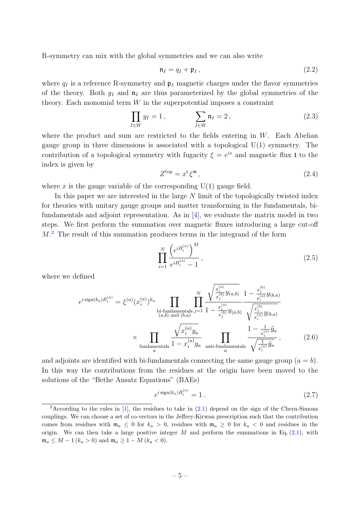R-symmetry can mix with the global symmetries and we can also write

$$
\mathfrak{n}_I = q_I + \mathfrak{p}_I, \tag{2.2}
$$

where  $q_I$  is a reference R-symmetry and  $\mathfrak{p}_I$  magnetic charges under the flavor symmetries of the theory. Both  $y_I$  and  $\mathfrak{n}_I$  are thus parameterized by the global symmetries of the theory. Each monomial term  $W$  in the superpotential imposes a constraint

$$
\prod_{I \in W} y_I = 1, \qquad \qquad \sum_{I \in W} \mathfrak{n}_I = 2, \tag{2.3}
$$

where the product and sum are restricted to the fields entering in  $W$ . Each Abelian gauge group in three dimensions is associated with a topological  $U(1)$  symmetry. The contribution of a topological symmetry with fugacity  $\xi = e^{iz}$  and magnetic flux t to the index is given by

$$
Z^{\text{top}} = x^{\text{t}} \xi^{\mathfrak{m}}, \tag{2.4}
$$

where x is the gauge variable of the corresponding  $U(1)$  gauge field.

In this paper we are interested in the large N limit of the topologically twisted index for theories with unitary gauge groups and matter transforming in the fundamentals, bifundamentals and adjoint representation. As in [\[4\]](#page-36-3), we evaluate the matrix model in two steps. We first perform the summation over magnetic fluxes introducing a large cut-off M<sup>[2](#page-5-0)</sup>. The result of this summation produces terms in the integrand of the form

$$
\prod_{i=1}^{N} \frac{\left(e^{i B_i^{(a)}}\right)^M}{e^{i B_i^{(a)}} - 1},
$$
\n(2.5)

where we defined

$$
e^{i \operatorname{sign}(k_a)B_i^{(a)}} = \xi^{(a)}(x_i^{(a)})^{k_a} \prod_{\substack{\text{bi-fundamentals} \\ (a,b) \text{ and } (b,a)}} \prod_{j=1}^N \frac{\sqrt{\frac{x_i^{(a)}}{x_j^{(b)}} y_{(a,b)}}}{1 - \frac{x_i^{(a)}}{x_j^{(b)}} y_{(a,b)}} \frac{1 - \frac{x_j^{(b)}}{x_i^{(a)}} y_{(b,a)}}{\sqrt{\frac{x_j^{(b)}}{x_i^{(a)}} y_{(b,a)}}}
$$

$$
\times \prod_{\substack{\text{fundamentals} \\ \text{fundamentals} \\ a}} \frac{\sqrt{x_i^{(a)} y_a}}{1 - x_i^{(a)} y_a} \prod_{\substack{\text{anti-fundamentals} \\ a}} \frac{1 - \frac{1}{x_i^{(a)}} \tilde{y}_a}{\sqrt{\frac{1}{x_i^{(a)}} \tilde{y}_a}}, \qquad (2.6)
$$

and adjoints are identified with bi-fundamentals connecting the same gauge group  $(a = b)$ . In this way the contributions from the residues at the origin have been moved to the solutions of the "Bethe Ansatz Equations" (BAEs)

<span id="page-5-1"></span>
$$
e^{i\operatorname{sign}(k_a)B_i^{(a)}} = 1.
$$
\n
$$
(2.7)
$$

<span id="page-5-0"></span><sup>&</sup>lt;sup>2</sup>According to the rules in [\[1\]](#page-36-0), the residues to take in  $(2.1)$  depend on the sign of the Chern-Simons couplings. We can choose a set of co-vectors in the Jeffrey-Kirwan prescription such that the contribution comes from residues with  $m_a \leq 0$  for  $k_a > 0$ , residues with  $m_a \geq 0$  for  $k_a < 0$  and residues in the origin. We can then take a large positive integer  $M$  and perform the summations in Eq. [\(2.1\)](#page-4-2), with  $\mathfrak{m}_a \leq M - 1$   $(k_a > 0)$  and  $\mathfrak{m}_a \geq 1 - M$   $(k_a < 0)$ .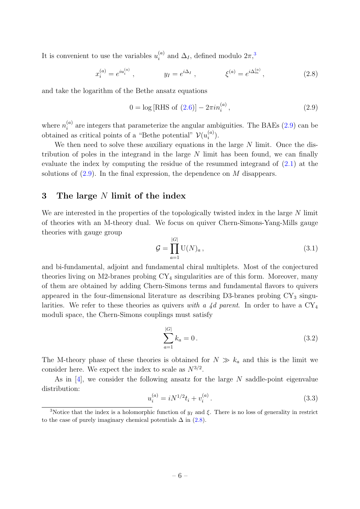It is convenient to use the variables  $u_i^{(a)}$  $\int_i^{(a)}$  and  $\Delta_I$ , defined modulo  $2\pi$ <sup>[3](#page-6-1)</sup>,

<span id="page-6-3"></span>
$$
x_i^{(a)} = e^{iu_i^{(a)}}, \qquad y_I = e^{i\Delta_I}, \qquad \xi^{(a)} = e^{i\Delta_m^{(a)}}, \qquad (2.8)
$$

and take the logarithm of the Bethe ansatz equations

<span id="page-6-2"></span>
$$
0 = \log [\text{RHS of } (2.6)] - 2\pi i n_i^{(a)}, \qquad (2.9)
$$

where  $n_i^{(a)}$  $i<sup>(a)</sup>$  are integers that parameterize the angular ambiguities. The BAEs [\(2.9\)](#page-6-2) can be obtained as critical points of a "Bethe potential"  $\mathcal{V}(u_i^{(a)})$  $\binom{a}{i}$ .

We then need to solve these auxiliary equations in the large  $N$  limit. Once the distribution of poles in the integrand in the large  $N$  limit has been found, we can finally evaluate the index by computing the residue of the resummed integrand of [\(2.1\)](#page-4-2) at the solutions of  $(2.9)$ . In the final expression, the dependence on M disappears.

## <span id="page-6-0"></span>3 The large  $N$  limit of the index

We are interested in the properties of the topologically twisted index in the large N limit of theories with an M-theory dual. We focus on quiver Chern-Simons-Yang-Mills gauge theories with gauge group

<span id="page-6-5"></span>
$$
\mathcal{G} = \prod_{a=1}^{|G|} \mathrm{U}(N)_a \,, \tag{3.1}
$$

and bi-fundamental, adjoint and fundamental chiral multiplets. Most of the conjectured theories living on M2-branes probing  $CY_4$  singularities are of this form. Moreover, many of them are obtained by adding Chern-Simons terms and fundamental flavors to quivers appeared in the four-dimensional literature as describing  $D3$ -branes probing  $CY_3$  singularities. We refer to these theories as quivers with a 4d parent. In order to have a  $CY_4$ moduli space, the Chern-Simons couplings must satisfy

<span id="page-6-4"></span>
$$
\sum_{a=1}^{|G|} k_a = 0. \tag{3.2}
$$

The M-theory phase of these theories is obtained for  $N \gg k_a$  and this is the limit we consider here. We expect the index to scale as  $N^{3/2}$ .

As in  $[4]$ , we consider the following ansatz for the large N saddle-point eigenvalue distribution:

$$
u_i^{(a)} = iN^{1/2}t_i + v_i^{(a)}.
$$
\n(3.3)

<span id="page-6-1"></span><sup>&</sup>lt;sup>3</sup>Notice that the index is a holomorphic function of  $y_I$  and  $\xi$ . There is no loss of generality in restrict to the case of purely imaginary chemical potentials  $\Delta$  in [\(2.8\)](#page-6-3).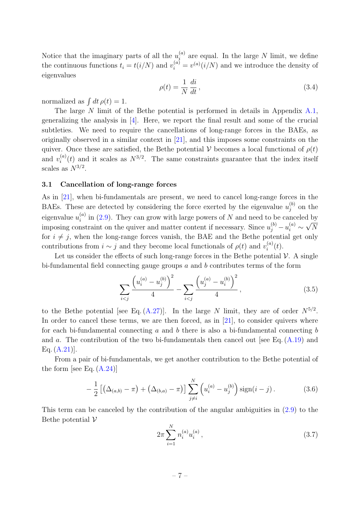Notice that the imaginary parts of all the  $u_i^{(a)}$  $\binom{a}{i}$  are equal. In the large N limit, we define the continuous functions  $t_i = t(i/N)$  and  $v_i^{(a)} = v^{(a)}(i/N)$  and we introduce the density of eigenvalues

$$
\rho(t) = \frac{1}{N} \frac{di}{dt},\tag{3.4}
$$

normalized as  $\int dt \, \rho(t) = 1$ .

The large N limit of the Bethe potential is performed in details in Appendix [A.1,](#page-21-1) generalizing the analysis in  $[4]$ . Here, we report the final result and some of the crucial subtleties. We need to require the cancellations of long-range forces in the BAEs, as originally observed in a similar context in [\[21\]](#page-37-7), and this imposes some constraints on the quiver. Once these are satisfied, the Bethe potential V becomes a local functional of  $\rho(t)$ and  $v_i^{(a)}$  $i^{(a)}(t)$  and it scales as  $N^{3/2}$ . The same constraints guarantee that the index itself scales as  $N^{3/2}$ .

#### <span id="page-7-0"></span>3.1 Cancellation of long-range forces

As in [\[21\]](#page-37-7), when bi-fundamentals are present, we need to cancel long-range forces in the BAEs. These are detected by considering the force exerted by the eigenvalue  $u_i^{(b)}$  $j^{(0)}$  on the eigenvalue  $u_i^{(a)}$  $\tilde{f}_i^{(a)}$  in [\(2.9\)](#page-6-2). They can grow with large powers of N and need to be canceled by imposing constraint on the quiver and matter content if necessary. Since  $u_j^{(b)} - u_i^{(a)} \sim \sqrt{N}$ for  $i \neq j$ , when the long-range forces vanish, the BAE and the Bethe potential get only contributions from  $i \sim j$  and they become local functionals of  $\rho(t)$  and  $v_i^{(a)}$  $\binom{a}{i}(t)$ .

Let us consider the effects of such long-range forces in the Bethe potential  $\mathcal V$ . A single bi-fundamental field connecting gauge groups  $a$  and  $b$  contributes terms of the form

<span id="page-7-1"></span>
$$
\sum_{i < j} \frac{\left(u_i^{(a)} - u_j^{(b)}\right)^2}{4} - \sum_{i < j} \frac{\left(u_j^{(a)} - u_i^{(b)}\right)^2}{4},\tag{3.5}
$$

to the Bethe potential [see Eq.  $(A.27)$ ]. In the large N limit, they are of order  $N^{5/2}$ . In order to cancel these terms, we are then forced, as in  $[21]$ , to consider quivers where for each bi-fundamental connecting a and b there is also a bi-fundamental connecting b and a. The contribution of the two bi-fundamentals then cancel out [see Eq.  $(A.19)$  and Eq.  $(A.21)$ ].

From a pair of bi-fundamentals, we get another contribution to the Bethe potential of the form [see Eq.  $(A.24)$ ]

<span id="page-7-2"></span>
$$
-\frac{1}{2}\left[\left(\Delta_{(a,b)}-\pi\right)+\left(\Delta_{(b,a)}-\pi\right)\right]\sum_{j\neq i}^{N}\left(u_i^{(a)}-u_j^{(b)}\right)\text{sign}(i-j). \tag{3.6}
$$

This term can be canceled by the contribution of the angular ambiguities in [\(2.9\)](#page-6-2) to the Bethe potential  $\mathcal V$ 

$$
2\pi \sum_{i=1}^{N} n_i^{(a)} u_i^{(a)}, \qquad (3.7)
$$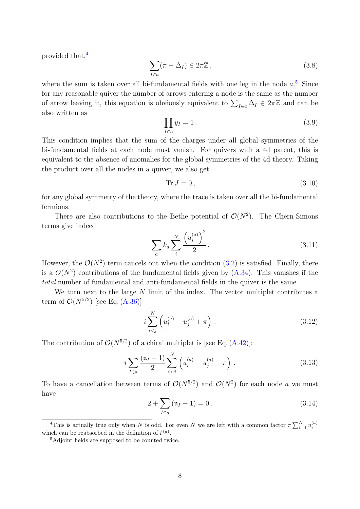provided that, $4$ 

$$
\sum_{I \in a} (\pi - \Delta_I) \in 2\pi \mathbb{Z},\tag{3.8}
$$

where the sum is taken over all bi-fundamental fields with one leg in the node  $a^5$  $a^5$ . Since for any reasonable quiver the number of arrows entering a node is the same as the number of arrow leaving it, this equation is obviously equivalent to  $\sum_{I\in a}\Delta_I \in 2\pi\mathbb{Z}$  and can be also written as

<span id="page-8-2"></span>
$$
\prod_{I \in a} y_I = 1. \tag{3.9}
$$

This condition implies that the sum of the charges under all global symmetries of the bi-fundamental fields at each node must vanish. For quivers with a 4d parent, this is equivalent to the absence of anomalies for the global symmetries of the 4d theory. Taking the product over all the nodes in a quiver, we also get

<span id="page-8-4"></span>
$$
\text{Tr}\,J=0\,,\tag{3.10}
$$

for any global symmetry of the theory, where the trace is taken over all the bi-fundamental fermions.

There are also contributions to the Bethe potential of  $\mathcal{O}(N^2)$ . The Chern-Simons terms give indeed

$$
\sum_{a} k_{a} \sum_{i}^{N} \frac{\left(u_{i}^{(a)}\right)^{2}}{2}.
$$
\n(3.11)

However, the  $\mathcal{O}(N^2)$  term cancels out when the condition  $(3.2)$  is satisfied. Finally, there is a  $O(N^2)$  contributions of the fundamental fields given by  $(A.34)$ . This vanishes if the total number of fundamental and anti-fundamental fields in the quiver is the same.

We turn next to the large  $N$  limit of the index. The vector multiplet contributes a term of  $\mathcal{O}(N^{5/2})$  [see Eq. [\(A.36\)](#page-27-1)]

<span id="page-8-5"></span>
$$
i\sum_{i
$$

The contribution of  $\mathcal{O}(N^{5/2})$  of a chiral multiplet is [see Eq. [\(A.42\)](#page-28-0)]:

$$
i\sum_{I\in a} \frac{(\mathfrak{n}_I - 1)}{2} \sum_{i < j}^N \left( u_i^{(a)} - u_j^{(a)} + \pi \right) \,. \tag{3.13}
$$

To have a cancellation between terms of  $\mathcal{O}(N^{5/2})$  and  $\mathcal{O}(N^2)$  for each node a we must have

<span id="page-8-6"></span><span id="page-8-3"></span>
$$
2 + \sum_{I \in a} (\mathfrak{n}_I - 1) = 0.
$$
 (3.14)

<span id="page-8-0"></span><sup>&</sup>lt;sup>4</sup>This is actually true only when N is odd. For even N we are left with a common factor  $\pi \sum_{i=1}^{N} u_i^{(a)}$ which can be reabsorbed in the definition of  $\xi^{(a)}$ .

<span id="page-8-1"></span><sup>5</sup>Adjoint fields are supposed to be counted twice.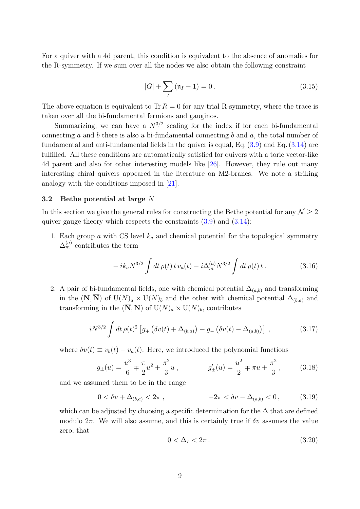For a quiver with a 4d parent, this condition is equivalent to the absence of anomalies for the R-symmetry. If we sum over all the nodes we also obtain the following constraint

<span id="page-9-3"></span>
$$
|G| + \sum_{I} (\mathfrak{n}_I - 1) = 0.
$$
 (3.15)

The above equation is equivalent to Tr  $R = 0$  for any trial R-symmetry, where the trace is taken over all the bi-fundamental fermions and gauginos.

Summarizing, we can have a  $N^{3/2}$  scaling for the index if for each bi-fundamental connecting a and b there is also a bi-fundamental connecting b and  $a$ , the total number of fundamental and anti-fundamental fields in the quiver is equal, Eq. [\(3.9\)](#page-8-2) and Eq. [\(3.14\)](#page-8-3) are fulfilled. All these conditions are automatically satisfied for quivers with a toric vector-like 4d parent and also for other interesting models like [\[26\]](#page-37-11). However, they rule out many interesting chiral quivers appeared in the literature on M2-branes. We note a striking analogy with the conditions imposed in [\[21\]](#page-37-7).

#### <span id="page-9-0"></span>3.2 Bethe potential at large N

In this section we give the general rules for constructing the Bethe potential for any  $\mathcal{N} \geq 2$ quiver gauge theory which respects the constraints  $(3.9)$  and  $(3.14)$ :

1. Each group a with CS level  $k_a$  and chemical potential for the topological symmetry  $\Delta_m^{(a)}$  contributes the term

$$
-ik_a N^{3/2} \int dt \,\rho(t) \, t \, v_a(t) - i \Delta_m^{(a)} N^{3/2} \int dt \,\rho(t) \, t \,. \tag{3.16}
$$

2. A pair of bi-fundamental fields, one with chemical potential  $\Delta_{(a,b)}$  and transforming in the  $(N, \overline{N})$  of U $(N)_a \times U(N)_b$  and the other with chemical potential  $\Delta_{(b,a)}$  and transforming in the  $(\overline{N}, N)$  of  $U(N)<sub>a</sub> \times U(N)<sub>b</sub>$ , contributes

<span id="page-9-2"></span>
$$
iN^{3/2} \int dt \,\rho(t)^2 \left[ g_+\left(\delta v(t) + \Delta_{(b,a)}\right) - g_-\left(\delta v(t) - \Delta_{(a,b)}\right) \right] \,, \tag{3.17}
$$

where  $\delta v(t) \equiv v_b(t) - v_a(t)$ . Here, we introduced the polynomial functions

<span id="page-9-4"></span>
$$
g_{\pm}(u) = \frac{u^3}{6} \mp \frac{\pi}{2}u^2 + \frac{\pi^2}{3}u , \qquad g'_{\pm}(u) = \frac{u^2}{2} \mp \pi u + \frac{\pi^2}{3} , \qquad (3.18)
$$

and we assumed them to be in the range

<span id="page-9-1"></span>
$$
0 < \delta v + \Delta_{(b,a)} < 2\pi \,, \qquad -2\pi < \delta v - \Delta_{(a,b)} < 0 \,, \tag{3.19}
$$

which can be adjusted by choosing a specific determination for the  $\Delta$  that are defined modulo  $2\pi$ . We will also assume, and this is certainly true if  $\delta v$  assumes the value zero, that

$$
0 < \Delta_I < 2\pi \,. \tag{3.20}
$$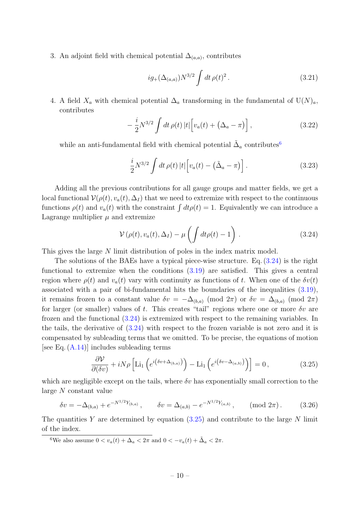3. An adjoint field with chemical potential  $\Delta_{(a,a)}$ , contributes

$$
ig_{+}(\Delta_{(a,a)})N^{3/2}\int dt\,\rho(t)^2.
$$
\n(3.21)

4. A field  $X_a$  with chemical potential  $\Delta_a$  transforming in the fundamental of U(N)<sub>a</sub>, contributes

$$
-\frac{i}{2}N^{3/2}\int dt \,\rho(t) \,|t|\Big[v_a(t) + \left(\Delta_a - \pi\right)\Big],\tag{3.22}
$$

while an anti-fundamental field with chemical potential  $\tilde{\Delta}_a$  contributes<sup>[6](#page-10-0)</sup>

<span id="page-10-3"></span>
$$
\frac{i}{2}N^{3/2}\int dt \,\rho(t) \,|t|\Big[v_a(t)-\left(\tilde{\Delta}_a-\pi\right)\Big].\tag{3.23}
$$

Adding all the previous contributions for all gauge groups and matter fields, we get a local functional  $\mathcal{V}(\rho(t), v_a(t), \Delta_I)$  that we need to extremize with respect to the continuous functions  $\rho(t)$  and  $v_a(t)$  with the constraint  $\int dt \rho(t) = 1$ . Equivalently we can introduce a Lagrange multiplier  $\mu$  and extremize

<span id="page-10-1"></span>
$$
\mathcal{V}\left(\rho(t), v_a(t), \Delta_I\right) - \mu \left(\int dt \rho(t) - 1\right). \tag{3.24}
$$

This gives the large N limit distribution of poles in the index matrix model.

The solutions of the BAEs have a typical piece-wise structure. Eq. [\(3.24\)](#page-10-1) is the right functional to extremize when the conditions  $(3.19)$  are satisfied. This gives a central region where  $\rho(t)$  and  $v_a(t)$  vary with continuity as functions of t. When one of the  $\delta v(t)$ associated with a pair of bi-fundamental hits the boundaries of the inequalities [\(3.19\)](#page-9-1), it remains frozen to a constant value  $\delta v = -\Delta_{(b,a)} \pmod{2\pi}$  or  $\delta v = \Delta_{(b,a)} \pmod{2\pi}$ for larger (or smaller) values of t. This creates "tail" regions where one or more  $\delta v$  are frozen and the functional [\(3.24\)](#page-10-1) is extremized with respect to the remaining variables. In the tails, the derivative of [\(3.24\)](#page-10-1) with respect to the frozen variable is not zero and it is compensated by subleading terms that we omitted. To be precise, the equations of motion [see Eq.  $(A.14)$ ] includes subleading terms

<span id="page-10-2"></span>
$$
\frac{\partial \mathcal{V}}{\partial(\delta v)} + iN\rho \left[ \text{Li}_1\left(e^{i\left(\delta v + \Delta_{(b,a)}\right)}\right) - \text{Li}_1\left(e^{i\left(\delta v - \Delta_{(a,b)}\right)}\right) \right] = 0, \tag{3.25}
$$

which are negligible except on the tails, where  $\delta v$  has exponentially small correction to the large N constant value

$$
\delta v = -\Delta_{(b,a)} + e^{-N^{1/2}Y_{(b,a)}}, \qquad \delta v = \Delta_{(a,b)} - e^{-N^{1/2}Y_{(a,b)}}, \qquad \text{(mod } 2\pi). \tag{3.26}
$$

The quantities Y are determined by equation  $(3.25)$  and contribute to the large N limit of the index.

<span id="page-10-0"></span><sup>6</sup>We also assume  $0 < v_a(t) + \Delta_a < 2\pi$  and  $0 < -v_a(t) + \tilde{\Delta}_a < 2\pi$ .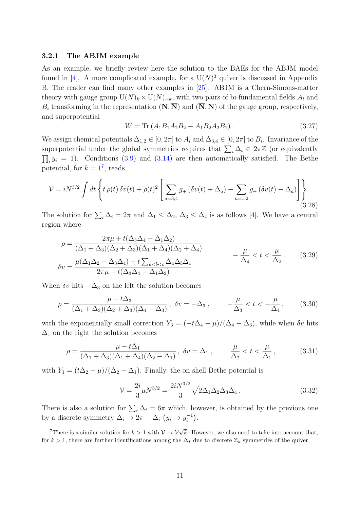#### 3.2.1 The ABJM example

As an example, we briefly review here the solution to the BAEs for the ABJM model found in [\[4\]](#page-36-3). A more complicated example, for a  $U(N)^3$  quiver is discussed in Appendix [B.](#page-30-0) The reader can find many other examples in [\[25\]](#page-37-10). ABJM is a Chern-Simons-matter theory with gauge group  $U(N)_k \times U(N)_{-k}$ , with two pairs of bi-fundamental fields  $A_i$  and  $B_i$  transforming in the representation  $(N, \overline{N})$  and  $(\overline{N}, N)$  of the gauge group, respectively, and superpotential

$$
W = \text{Tr}\left(A_1 B_1 A_2 B_2 - A_1 B_2 A_2 B_1\right). \tag{3.27}
$$

We assign chemical potentials  $\Delta_{1,2} \in [0, 2\pi]$  to  $A_i$  and  $\Delta_{3,4} \in [0, 2\pi]$  to  $B_i$ . Invariance of the superpotential under the global symmetries requires that  $\sum_i \Delta_i \in 2\pi\mathbb{Z}$  (or equivalently  $\prod_i y_i = 1$ ). Conditions [\(3.9\)](#page-8-2) and [\(3.14\)](#page-8-3) are then automatically satisfied. The Bethe potential, for  $k = 1^7$  $k = 1^7$ , reads

$$
\mathcal{V} = iN^{3/2} \int dt \left\{ t \rho(t) \, \delta v(t) + \rho(t)^2 \left[ \sum_{a=3,4} g_+ \left( \delta v(t) + \Delta_a \right) - \sum_{a=1,2} g_- \left( \delta v(t) - \Delta_a \right) \right] \right\}.
$$
\n(3.28)

The solution for  $\sum_i \Delta_i = 2\pi$  and  $\Delta_1 \leq \Delta_2$ ,  $\Delta_3 \leq \Delta_4$  is as follows [\[4\]](#page-36-3). We have a central region where

$$
\rho = \frac{2\pi\mu + t(\Delta_3\Delta_4 - \Delta_1\Delta_2)}{(\Delta_1 + \Delta_3)(\Delta_2 + \Delta_3)(\Delta_1 + \Delta_4)(\Delta_2 + \Delta_4)} - \frac{\mu}{\Delta_4} < t < \frac{\mu}{\Delta_2}.
$$
\n
$$
\delta v = \frac{\mu(\Delta_1\Delta_2 - \Delta_3\Delta_4) + t\sum_{a
$$

When  $\delta v$  hits  $-\Delta_3$  on the left the solution becomes

$$
\rho = \frac{\mu + t\Delta_3}{(\Delta_1 + \Delta_3)(\Delta_2 + \Delta_3)(\Delta_4 - \Delta_3)}, \quad \delta v = -\Delta_3, \quad -\frac{\mu}{\Delta_3} < t < -\frac{\mu}{\Delta_4}, \tag{3.30}
$$

with the exponentially small correction  $Y_3 = (-t\Delta_4 - \mu)/(\Delta_4 - \Delta_3)$ , while when  $\delta v$  hits  $\Delta_1$  on the right the solution becomes

$$
\rho = \frac{\mu - t\Delta_1}{(\Delta_1 + \Delta_3)(\Delta_1 + \Delta_4)(\Delta_2 - \Delta_1)}, \ \delta v = \Delta_1 \,, \qquad \frac{\mu}{\Delta_2} < t < \frac{\mu}{\Delta_1} \,, \tag{3.31}
$$

with  $Y_1 = (t\Delta_2 - \mu)/(\Delta_2 - \Delta_1)$ . Finally, the on-shell Bethe potential is

<span id="page-11-1"></span>
$$
\mathcal{V} = \frac{2i}{3} \mu N^{3/2} = \frac{2i N^{3/2}}{3} \sqrt{2\Delta_1 \Delta_2 \Delta_3 \Delta_4} \,. \tag{3.32}
$$

There is also a solution for  $\sum_i \Delta_i = 6\pi$  which, however, is obtained by the previous one by a discrete symmetry  $\Delta_i \to 2\pi - \Delta_i$   $(y_i \to y_i^{-1})$  $\binom{-1}{i}$ .

<span id="page-11-0"></span><sup>&</sup>lt;sup>7</sup>There is a similar solution for  $k > 1$  with  $\mathcal{V} \to \mathcal{V} \sqrt{k}$ . However, we also need to take into account that, for  $k > 1$ , there are further identifications among the  $\Delta_I$  due to discrete  $\mathbb{Z}_k$  symmetries of the quiver.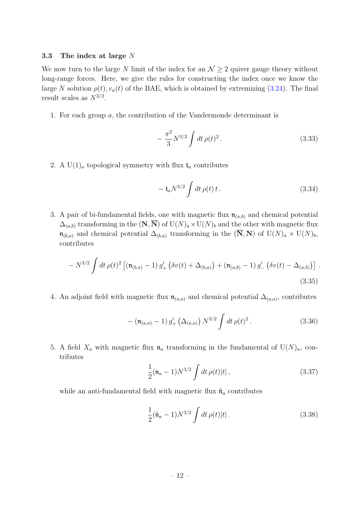#### <span id="page-12-0"></span>3.3 The index at large  $N$

We now turn to the large N limit of the index for an  $\mathcal{N} \geq 2$  quiver gauge theory without long-range forces. Here, we give the rules for constructing the index once we know the large N solution  $\rho(t)$ ,  $v_a(t)$  of the BAE, which is obtained by extremizing [\(3.24\)](#page-10-1). The final result scales as  $N^{3/2}$ .

1. For each group a, the contribution of the Vandermonde determinant is

<span id="page-12-2"></span>
$$
-\frac{\pi^2}{3}N^{3/2}\int dt \,\rho(t)^2\,. \tag{3.33}
$$

2. A U(1)<sub>a</sub> topological symmetry with flux  $t_a$  contributes

$$
- t_a N^{3/2} \int dt \, \rho(t) \, t \,. \tag{3.34}
$$

3. A pair of bi-fundamental fields, one with magnetic flux  $\mathfrak{n}_{(a,b)}$  and chemical potential  $\Delta_{(a,b)}$  transforming in the  $(N,\overline{N})$  of  $U(N)<sub>a</sub> \times U(N)<sub>b</sub>$  and the other with magnetic flux  $\mathfrak{n}_{(b,a)}$  and chemical potential  $\Delta_{(b,a)}$  transforming in the  $(\overline{N}, N)$  of  $U(N)_a \times U(N)_b$ , contributes

<span id="page-12-1"></span>
$$
- N^{3/2} \int dt \,\rho(t)^2 \left[ (\mathfrak{n}_{(b,a)} - 1) g'_+ \left( \delta v(t) + \Delta_{(b,a)} \right) + (\mathfrak{n}_{(a,b)} - 1) g'_- \left( \delta v(t) - \Delta_{(a,b)} \right) \right].
$$
\n(3.35)

4. An adjoint field with magnetic flux  $\mathfrak{n}_{(a,a)}$  and chemical potential  $\Delta_{(a,a)}$ , contributes

$$
- (\mathfrak{n}_{(a,a)} - 1) g'_+ \left(\Delta_{(a,a)}\right) N^{3/2} \int dt \, \rho(t)^2 \,. \tag{3.36}
$$

5. A field  $X_a$  with magnetic flux  $\mathfrak{n}_a$  transforming in the fundamental of  $U(N)_a$ , contributes

$$
\frac{1}{2}(\mathfrak{n}_a - 1)N^{3/2} \int dt \,\rho(t)|t| \,, \tag{3.37}
$$

while an anti-fundamental field with magnetic flux  $\tilde{\mathfrak{n}}_a$  contributes

$$
\frac{1}{2}(\tilde{\mathfrak{n}}_a - 1)N^{3/2} \int dt \,\rho(t)|t| \,. \tag{3.38}
$$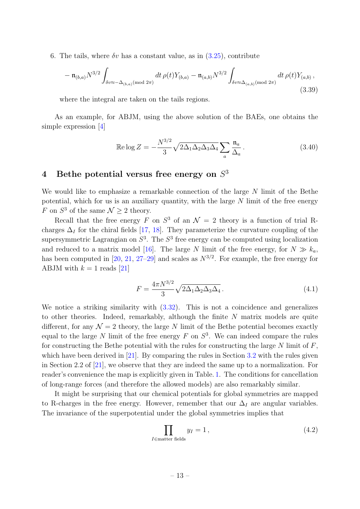6. The tails, where  $\delta v$  has a constant value, as in  $(3.25)$ , contribute

<span id="page-13-1"></span>
$$
-\mathfrak{n}_{(b,a)}N^{3/2}\int_{\delta v\approx -\Delta_{(b,a)}(\text{mod }2\pi)}dt\,\rho(t)Y_{(b,a)}-\mathfrak{n}_{(a,b)}N^{3/2}\int_{\delta v\approx \Delta_{(a,b)}(\text{mod }2\pi)}dt\,\rho(t)Y_{(a,b)},\tag{3.39}
$$

where the integral are taken on the tails regions.

As an example, for ABJM, using the above solution of the BAEs, one obtains the simple expression [\[4\]](#page-36-3)

$$
\operatorname{Re}\log Z = -\frac{N^{3/2}}{3} \sqrt{2\Delta_1 \Delta_2 \Delta_3 \Delta_4} \sum_a \frac{\mathfrak{n}_a}{\Delta_a}.
$$
 (3.40)

## <span id="page-13-0"></span>4 Bethe potential versus free energy on  $S<sup>3</sup>$

We would like to emphasize a remarkable connection of the large N limit of the Bethe potential, which for us is an auxiliary quantity, with the large  $N$  limit of the free energy F on  $S^3$  of the same  $\mathcal{N} \geq 2$  theory.

Recall that the free energy F on  $S^3$  of an  $\mathcal{N}=2$  theory is a function of trial Rcharges  $\Delta_I$  for the chiral fields [\[17,](#page-37-12) [18\]](#page-37-4). They parameterize the curvature coupling of the supersymmetric Lagrangian on  $S^3$ . The  $S^3$  free energy can be computed using localization and reduced to a matrix model [\[16\]](#page-37-3). The large N limit of the free energy, for  $N \gg k_a$ , has been computed in [\[20,](#page-37-6) [21,](#page-37-7) [27–](#page-37-13)[29\]](#page-38-0) and scales as  $N^{3/2}$ . For example, the free energy for ABJM with  $k = 1$  reads [\[21\]](#page-37-7)

$$
F = \frac{4\pi N^{3/2}}{3} \sqrt{2\Delta_1 \Delta_2 \Delta_3 \Delta_4}.
$$
\n(4.1)

We notice a striking similarity with [\(3.32\)](#page-11-1). This is not a coincidence and generalizes to other theories. Indeed, remarkably, although the finite  $N$  matrix models are quite different, for any  $\mathcal{N} = 2$  theory, the large N limit of the Bethe potential becomes exactly equal to the large N limit of the free energy  $F$  on  $S^3$ . We can indeed compare the rules for constructing the Bethe potential with the rules for constructing the large  $N$  limit of  $F$ , which have been derived in  $[21]$ . By comparing the rules in Section [3.2](#page-9-0) with the rules given in Section 2.2 of [\[21\]](#page-37-7), we observe that they are indeed the same up to a normalization. For reader's convenience the map is explicitly given in Table. [1.](#page-14-1) The conditions for cancellation of long-range forces (and therefore the allowed models) are also remarkably similar.

It might be surprising that our chemical potentials for global symmetries are mapped to R-charges in the free energy. However, remember that our  $\Delta_I$  are angular variables. The invariance of the superpotential under the global symmetries implies that

$$
\prod_{I \in \text{matter fields}} y_I = 1, \tag{4.2}
$$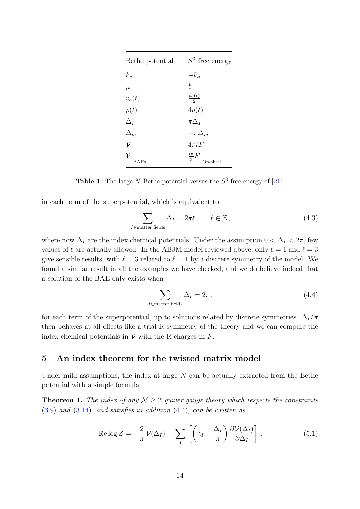<span id="page-14-1"></span>

| Bethe potential | $S^3$ free energy        |  |
|-----------------|--------------------------|--|
| $k_a$           | $-k_a$                   |  |
| $\mu$           | $\frac{\mu}{2}$          |  |
| $v_a(t)$        | $\frac{v_a(t)}{2}$       |  |
| $\rho(t)$       | $4\rho(t)$               |  |
| $\Delta_I$      | $\pi\Delta_I$            |  |
| $\Delta_m$      | $-\pi\Delta_m$           |  |
| $\mathcal{V}$   | $4\pi iF$                |  |
|                 | $\frac{i\pi}{2}F\Big _C$ |  |

**Table 1.** The large N Bethe potential versus the  $S^3$  free energy of [\[21\]](#page-37-7).

in each term of the superpotential, which is equivalent to

<span id="page-14-4"></span>
$$
\sum_{I \in \text{matter fields}} \Delta_I = 2\pi \ell \qquad \ell \in \mathbb{Z},\tag{4.3}
$$

where now  $\Delta_I$  are the index chemical potentials. Under the assumption  $0 < \Delta_I < 2\pi$ , few values of  $\ell$  are actually allowed. In the ABJM model reviewed above, only  $\ell = 1$  and  $\ell = 3$ give sensible results, with  $\ell = 3$  related to  $\ell = 1$  by a discrete symmetry of the model. We found a similar result in all the examples we have checked, and we do believe indeed that a solution of the BAE only exists when

<span id="page-14-2"></span>
$$
\sum_{I \in \text{matter fields}} \Delta_I = 2\pi \,,\tag{4.4}
$$

for each term of the superpotential, up to solutions related by discrete symmetries.  $\Delta_I/\pi$ then behaves at all effects like a trial R-symmetry of the theory and we can compare the index chemical potentials in  $V$  with the R-charges in  $F$ .

### <span id="page-14-0"></span>5 An index theorem for the twisted matrix model

Under mild assumptions, the index at large  $N$  can be actually extracted from the Bethe potential with a simple formula.

**Theorem 1.** The index of any  $N \geq 2$  quiver gauge theory which respects the constraints  $(3.9)$  and  $(3.14)$ , and satisfies in addition  $(4.4)$ , can be written as

<span id="page-14-3"></span>
$$
\operatorname{Re}\log Z = -\frac{2}{\pi}\,\overline{\mathcal{V}}(\Delta_I) - \sum_{I} \left[ \left(\mathfrak{n}_I - \frac{\Delta_I}{\pi}\right) \frac{\partial \overline{\mathcal{V}}(\Delta_I)}{\partial \Delta_I} \right],\tag{5.1}
$$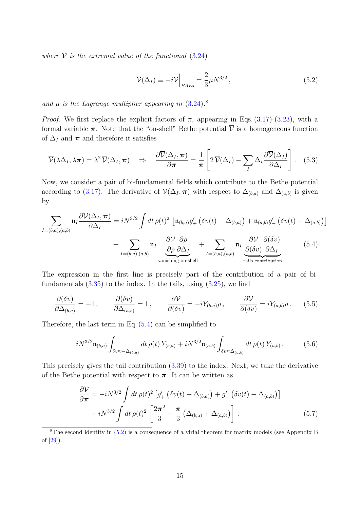where  $\overline{\mathcal{V}}$  is the extremal value of the functional [\(3.24\)](#page-10-1)

<span id="page-15-2"></span><span id="page-15-1"></span>
$$
\overline{\mathcal{V}}(\Delta_I) \equiv -i\mathcal{V}\Big|_{BAEs} = \frac{2}{3}\mu N^{3/2},\tag{5.2}
$$

and  $\mu$  is the Lagrange multiplier appearing in  $(3.24).$  $(3.24).$ <sup>[8](#page-15-0)</sup>

*Proof.* We first replace the explicit factors of  $\pi$ , appearing in Eqs. [\(3.17\)](#page-9-2)-[\(3.23\)](#page-10-3), with a formal variable  $\pi$ . Note that the "on-shell" Bethe potential  $\overline{\mathcal{V}}$  is a homogeneous function of  $\Delta_I$  and  $\pi$  and therefore it satisfies

$$
\overline{\mathcal{V}}(\lambda \Delta_I, \lambda \pi) = \lambda^2 \, \overline{\mathcal{V}}(\Delta_I, \pi) \quad \Rightarrow \quad \frac{\partial \overline{\mathcal{V}}(\Delta_I, \pi)}{\partial \pi} = \frac{1}{\pi} \left[ 2 \, \overline{\mathcal{V}}(\Delta_I) - \sum_I \Delta_I \frac{\partial \overline{\mathcal{V}}(\Delta_I)}{\partial \Delta_I} \right]. \tag{5.3}
$$

Now, we consider a pair of bi-fundamental fields which contribute to the Bethe potential according to [\(3.17\)](#page-9-2). The derivative of  $\mathcal{V}(\Delta_I, \pi)$  with respect to  $\Delta_{(b,a)}$  and  $\Delta_{(a,b)}$  is given by

$$
\sum_{I=(b,a),(a,b)} \mathfrak{n}_I \frac{\partial \mathcal{V}(\Delta_I, \pi)}{\partial \Delta_I} = i N^{3/2} \int dt \,\rho(t)^2 \left[ \mathfrak{n}_{(b,a)} g'_+ \left( \delta v(t) + \Delta_{(b,a)} \right) + \mathfrak{n}_{(a,b)} g'_- \left( \delta v(t) - \Delta_{(a,b)} \right) \right]
$$

$$
+ \sum_{I=(b,a),(a,b)} \mathfrak{n}_I \underbrace{\frac{\partial \mathcal{V}}{\partial \rho} \frac{\partial \rho}{\partial \Delta_I}}_{\text{vanishing on-shell}} + \sum_{I=(b,a),(a,b)} \mathfrak{n}_I \underbrace{\frac{\partial \mathcal{V}}{\partial (\delta v)} \frac{\partial (\delta v)}{\partial \Delta_I}}_{\text{tails contribution}}.
$$
(5.4)

The expression in the first line is precisely part of the contribution of a pair of bifundamentals  $(3.35)$  to the index. In the tails, using  $(3.25)$ , we find

$$
\frac{\partial(\delta v)}{\partial \Delta_{(b,a)}} = -1\,, \qquad \frac{\partial(\delta v)}{\partial \Delta_{(a,b)}} = 1\,, \qquad \frac{\partial \mathcal{V}}{\partial(\delta v)} = -iY_{(b,a)}\rho\,, \qquad \frac{\partial \mathcal{V}}{\partial(\delta v)} = iY_{(a,b)}\rho\,.\tag{5.5}
$$

Therefore, the last term in Eq. [\(5.4\)](#page-15-1) can be simplified to

$$
iN^{3/2}\mathfrak{n}_{(b,a)}\int_{\delta v\approx -\Delta_{(b,a)}}dt\,\rho(t)\,Y_{(b,a)}+iN^{3/2}\mathfrak{n}_{(a,b)}\int_{\delta v\approx \Delta_{(a,b)}}dt\,\rho(t)\,Y_{(a,b)}.\tag{5.6}
$$

This precisely gives the tail contribution [\(3.39\)](#page-13-1) to the index. Next, we take the derivative of the Bethe potential with respect to  $\pi$ . It can be written as

$$
\frac{\partial \mathcal{V}}{\partial \pi} = -iN^{3/2} \int dt \,\rho(t)^2 \left[ g'_+ \left( \delta v(t) + \Delta_{(b,a)} \right) + g'_- \left( \delta v(t) - \Delta_{(a,b)} \right) \right] + iN^{3/2} \int dt \,\rho(t)^2 \left[ \frac{2\pi^2}{3} - \frac{\pi}{3} \left( \Delta_{(b,a)} + \Delta_{(a,b)} \right) \right]. \tag{5.7}
$$

<span id="page-15-0"></span><sup>8</sup>The second identity in [\(5.2\)](#page-15-2) is a consequence of a virial theorem for matrix models (see Appendix B of [\[29\]](#page-38-0)).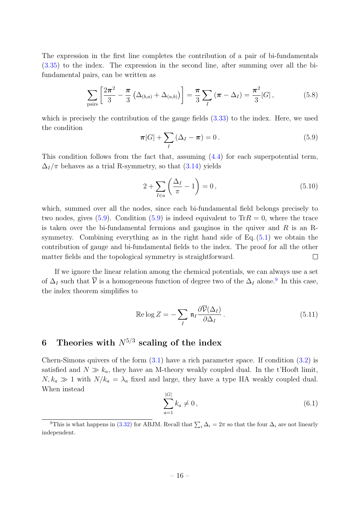The expression in the first line completes the contribution of a pair of bi-fundamentals [\(3.35\)](#page-12-1) to the index. The expression in the second line, after summing over all the bifundamental pairs, can be written as

$$
\sum_{\text{pairs}} \left[ \frac{2\pi^2}{3} - \frac{\pi}{3} \left( \Delta_{(b,a)} + \Delta_{(a,b)} \right) \right] = \frac{\pi}{3} \sum_{I} \left( \pi - \Delta_{I} \right) = \frac{\pi^2}{3} |G| \,, \tag{5.8}
$$

which is precisely the contribution of the gauge fields  $(3.33)$  to the index. Here, we used the condition

<span id="page-16-1"></span>
$$
\boldsymbol{\pi}|G| + \sum_{I} (\Delta_I - \boldsymbol{\pi}) = 0. \tag{5.9}
$$

This condition follows from the fact that, assuming [\(4.4\)](#page-14-2) for each superpotential term,  $\Delta_I/\pi$  behaves as a trial R-symmetry, so that [\(3.14\)](#page-8-3) yields

$$
2 + \sum_{I \in a} \left( \frac{\Delta_I}{\pi} - 1 \right) = 0, \qquad (5.10)
$$

which, summed over all the nodes, since each bi-fundamental field belongs precisely to two nodes, gives [\(5.9\)](#page-16-1). Condition (5.9) is indeed equivalent to  $\text{Tr}R = 0$ , where the trace is taken over the bi-fundamental fermions and gauginos in the quiver and  $R$  is an Rsymmetry. Combining everything as in the right hand side of Eq. [\(5.1\)](#page-14-3) we obtain the contribution of gauge and bi-fundamental fields to the index. The proof for all the other matter fields and the topological symmetry is straightforward.  $\Box$ 

If we ignore the linear relation among the chemical potentials, we can always use a set of  $\Delta_I$  such that  $\overline{V}$  is a homogeneous function of degree two of the  $\Delta_I$  alone.<sup>[9](#page-16-2)</sup> In this case, the index theorem simplifies to

<span id="page-16-4"></span>
$$
\operatorname{Re}\log Z = -\sum_{I} \mathfrak{n}_{I} \frac{\partial \overline{\mathcal{V}}(\Delta_{I})}{\partial \Delta_{I}}.
$$
\n(5.11)

## <span id="page-16-0"></span>6 Theories with  $N^{5/3}$  scaling of the index

Chern-Simons quivers of the form  $(3.1)$  have a rich parameter space. If condition  $(3.2)$  is satisfied and  $N \gg k_a$ , they have an M-theory weakly coupled dual. In the t'Hooft limit,  $N, k_a \gg 1$  with  $N/k_a = \lambda_a$  fixed and large, they have a type IIA weakly coupled dual. When instead

<span id="page-16-3"></span>
$$
\sum_{a=1}^{|G|} k_a \neq 0, \tag{6.1}
$$

<span id="page-16-2"></span><sup>&</sup>lt;sup>9</sup>This is what happens in [\(3.32\)](#page-11-1) for ABJM. Recall that  $\sum_i \Delta_i = 2\pi$  so that the four  $\Delta_i$  are not linearly independent.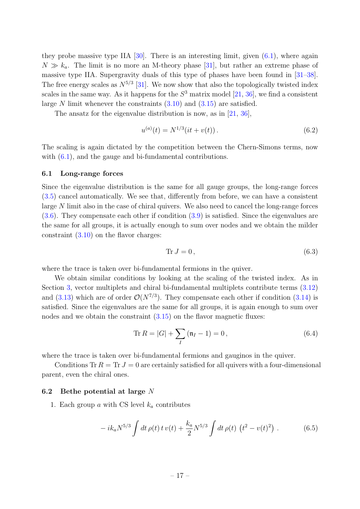they probe massive type IIA  $[30]$ . There is an interesting limit, given  $(6.1)$ , where again  $N \gg k_a$ . The limit is no more an M-theory phase [\[31\]](#page-38-2), but rather an extreme phase of massive type IIA. Supergravity duals of this type of phases have been found in [\[31–](#page-38-2)[38\]](#page-38-3). The free energy scales as  $N^{5/3}$  [\[31\]](#page-38-2). We now show that also the topologically twisted index scales in the same way. As it happens for the  $S^3$  matrix model [\[21,](#page-37-7) [36\]](#page-38-4), we find a consistent large N limit whenever the constraints  $(3.10)$  and  $(3.15)$  are satisfied.

The ansatz for the eigenvalue distribution is now, as in [\[21,](#page-37-7) [36\]](#page-38-4),

$$
u^{(a)}(t) = N^{1/3}(it + v(t)).
$$
\n(6.2)

The scaling is again dictated by the competition between the Chern-Simons terms, now with  $(6.1)$ , and the gauge and bi-fundamental contributions.

#### <span id="page-17-0"></span>6.1 Long-range forces

Since the eigenvalue distribution is the same for all gauge groups, the long-range forces [\(3.5\)](#page-7-1) cancel automatically. We see that, differently from before, we can have a consistent large N limit also in the case of chiral quivers. We also need to cancel the long-range forces [\(3.6\)](#page-7-2). They compensate each other if condition [\(3.9\)](#page-8-2) is satisfied. Since the eigenvalues are the same for all groups, it is actually enough to sum over nodes and we obtain the milder constraint [\(3.10\)](#page-8-4) on the flavor charges:

$$
\text{Tr}\,J=0\,,\tag{6.3}
$$

where the trace is taken over bi-fundamental fermions in the quiver.

We obtain similar conditions by looking at the scaling of the twisted index. As in Section [3,](#page-6-0) vector multiplets and chiral bi-fundamental multiplets contribute terms [\(3.12\)](#page-8-5) and  $(3.13)$  which are of order  $\mathcal{O}(N^{7/3})$ . They compensate each other if condition  $(3.14)$  is satisfied. Since the eigenvalues are the same for all groups, it is again enough to sum over nodes and we obtain the constraint  $(3.15)$  on the flavor magnetic fluxes:

$$
\text{Tr}\,R = |G| + \sum_{I} \left(\mathfrak{n}_I - 1\right) = 0\,,\tag{6.4}
$$

where the trace is taken over bi-fundamental fermions and gauginos in the quiver.

Conditions Tr  $R = Tr J = 0$  are certainly satisfied for all quivers with a four-dimensional parent, even the chiral ones.

#### <span id="page-17-1"></span>6.2 Bethe potential at large  $N$

1. Each group  $a$  with CS level  $k_a$  contributes

$$
-ik_a N^{5/3} \int dt \,\rho(t) \, t \, v(t) + \frac{k_a}{2} N^{5/3} \int dt \,\rho(t) \, \left(t^2 - v(t)^2\right) \,. \tag{6.5}
$$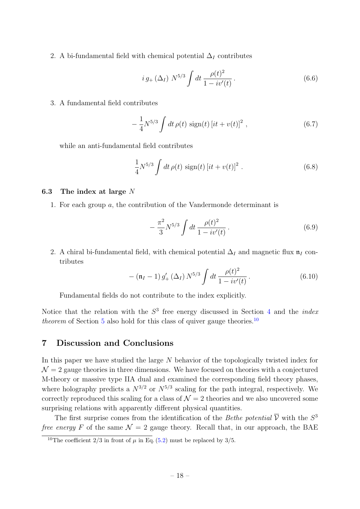2. A bi-fundamental field with chemical potential  $\Delta_I$  contributes

$$
i\,g_{+}\left(\Delta_{I}\right) N^{5/3} \int dt \, \frac{\rho(t)^{2}}{1 - i v'(t)}\,. \tag{6.6}
$$

3. A fundamental field contributes

$$
-\frac{1}{4}N^{5/3}\int dt \,\rho(t)\,\text{sign}(t)\left[it+v(t)\right]^2\,,\tag{6.7}
$$

while an anti-fundamental field contributes

$$
\frac{1}{4}N^{5/3}\int dt \,\rho(t) \,\text{sign}(t) \left[it + v(t)\right]^2. \tag{6.8}
$$

#### <span id="page-18-0"></span>6.3 The index at large  $N$

1. For each group a, the contribution of the Vandermonde determinant is

$$
-\frac{\pi^2}{3}N^{5/3}\int dt \frac{\rho(t)^2}{1-i\upsilon'(t)}.
$$
\n(6.9)

2. A chiral bi-fundamental field, with chemical potential  $\Delta_I$  and magnetic flux  $\mathfrak{n}_I$  contributes

$$
- (\mathfrak{n}_I - 1) g'_+ (\Delta_I) N^{5/3} \int dt \, \frac{\rho(t)^2}{1 - i v'(t)} \,. \tag{6.10}
$$

Fundamental fields do not contribute to the index explicitly.

Notice that the relation with the  $S<sup>3</sup>$  free energy discussed in Section [4](#page-13-0) and the *index* theorem of Section  $5$  also hold for this class of quiver gauge theories.<sup>[10](#page-18-2)</sup>

## <span id="page-18-1"></span>7 Discussion and Conclusions

In this paper we have studied the large N behavior of the topologically twisted index for  $\mathcal{N} = 2$  gauge theories in three dimensions. We have focused on theories with a conjectured M-theory or massive type IIA dual and examined the corresponding field theory phases, where holography predicts a  $N^{3/2}$  or  $N^{5/3}$  scaling for the path integral, respectively. We correctly reproduced this scaling for a class of  $\mathcal{N}=2$  theories and we also uncovered some surprising relations with apparently different physical quantities.

The first surprise comes from the identification of the *Bethe potential*  $\overline{V}$  with the  $S^3$ free energy F of the same  $\mathcal{N} = 2$  gauge theory. Recall that, in our approach, the BAE

<span id="page-18-2"></span><sup>&</sup>lt;sup>10</sup>The coefficient 2/3 in front of  $\mu$  in Eq. [\(5.2\)](#page-15-2) must be replaced by 3/5.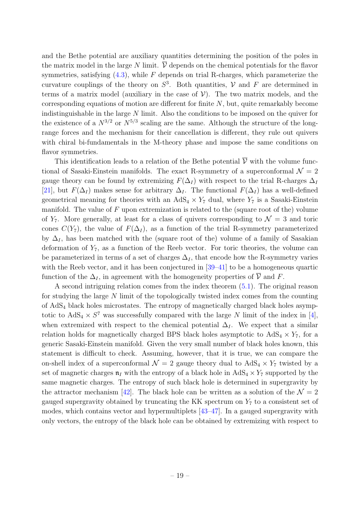and the Bethe potential are auxiliary quantities determining the position of the poles in the matrix model in the large N limit.  $\overline{V}$  depends on the chemical potentials for the flavor symmetries, satisfying  $(4.3)$ , while F depends on trial R-charges, which parameterize the curvature couplings of the theory on  $S^3$ . Both quantities, V and F are determined in terms of a matrix model (auxiliary in the case of  $V$ ). The two matrix models, and the corresponding equations of motion are different for finite  $N$ , but, quite remarkably become indistinguishable in the large N limit. Also the conditions to be imposed on the quiver for the existence of a  $N^{3/2}$  or  $N^{5/3}$  scaling are the same. Although the structure of the longrange forces and the mechanism for their cancellation is different, they rule out quivers with chiral bi-fundamentals in the M-theory phase and impose the same conditions on flavor symmetries.

This identification leads to a relation of the Bethe potential  $\overline{\mathcal{V}}$  with the volume functional of Sasaki-Einstein manifolds. The exact R-symmetry of a superconformal  $\mathcal{N} = 2$ gauge theory can be found by extremizing  $F(\Delta_I)$  with respect to the trial R-charges  $\Delta_I$ [\[21\]](#page-37-7), but  $F(\Delta_I)$  makes sense for arbitrary  $\Delta_I$ . The functional  $F(\Delta_I)$  has a well-defined geometrical meaning for theories with an  $AdS_4 \times Y_7$  dual, where  $Y_7$  is a Sasaki-Einstein manifold. The value of  $F$  upon extremization is related to the (square root of the) volume of  $Y_7$ . More generally, at least for a class of quivers corresponding to  $\mathcal{N}=3$  and toric cones  $C(Y_7)$ , the value of  $F(\Delta_I)$ , as a function of the trial R-symmetry parameterized by  $\Delta_I$ , has been matched with the (square root of the) volume of a family of Sasakian deformation of  $Y_7$ , as a function of the Reeb vector. For toric theories, the volume can be parameterized in terms of a set of charges  $\Delta_I$ , that encode how the R-symmetry varies with the Reeb vector, and it has been conjectured in  $[39-41]$  $[39-41]$  to be a homogeneous quartic function of the  $\Delta_I$ , in agreement with the homogeneity properties of  $\overline{\mathcal{V}}$  and F.

A second intriguing relation comes from the index theorem [\(5.1\)](#page-14-3). The original reason for studying the large N limit of the topologically twisted index comes from the counting of AdS<sup>4</sup> black holes microstates. The entropy of magnetically charged black holes asymptotic to  $AdS_4 \times S^7$  was successfully compared with the large N limit of the index in [\[4\]](#page-36-3), when extremized with respect to the chemical potential  $\Delta_I$ . We expect that a similar relation holds for magnetically charged BPS black holes asymptotic to  $AdS_4 \times Y_7$ , for a generic Sasaki-Einstein manifold. Given the very small number of black holes known, this statement is difficult to check. Assuming, however, that it is true, we can compare the on-shell index of a superconformal  $\mathcal{N} = 2$  gauge theory dual to  $AdS_4 \times Y_7$  twisted by a set of magnetic charges  $\mathfrak{n}_I$  with the entropy of a black hole in AdS<sub>4</sub>  $\times$  Y<sub>7</sub> supported by the same magnetic charges. The entropy of such black hole is determined in supergravity by the attractor mechanism [\[42\]](#page-38-7). The black hole can be written as a solution of the  $\mathcal{N} = 2$ gauged supergravity obtained by truncating the KK spectrum on  $Y<sub>7</sub>$  to a consistent set of modes, which contains vector and hypermultiplets [\[43–](#page-38-8)[47\]](#page-39-0). In a gauged supergravity with only vectors, the entropy of the black hole can be obtained by extremizing with respect to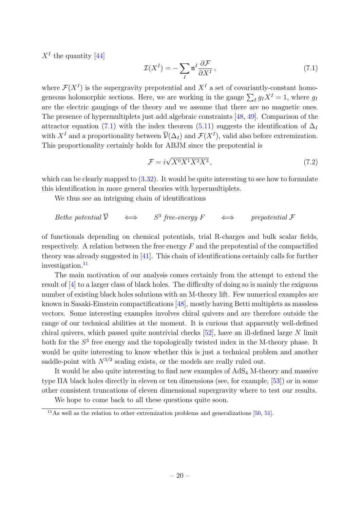$X<sup>I</sup>$  the quantity [\[44\]](#page-38-9)

<span id="page-20-0"></span>
$$
\mathcal{I}(X^{I}) = -\sum_{I} \mathfrak{n}^{I} \frac{\partial \mathcal{F}}{\partial X^{I}},
$$
\n(7.1)

where  $\mathcal{F}(X^I)$  is the supergravity prepotential and  $X^I$  a set of covariantly-constant homogeneous holomorphic sections. Here, we are working in the gauge  $\sum_{I} g_I X^I = 1$ , where  $g_I$ are the electric gaugings of the theory and we assume that there are no magnetic ones. The presence of hypermultiplets just add algebraic constraints [\[48,](#page-39-1) [49\]](#page-39-2). Comparison of the attractor equation [\(7.1\)](#page-20-0) with the index theorem [\(5.11\)](#page-16-4) suggests the identification of  $\Delta_I$ with  $X^I$  and a proportionality between  $\overline{\mathcal{V}}(\Delta_I)$  and  $\mathcal{F}(X^I)$ , valid also before extremization. This proportionality certainly holds for ABJM since the prepotential is

$$
\mathcal{F} = i\sqrt{X^0 X^1 X^2 X^3},\tag{7.2}
$$

which can be clearly mapped to  $(3.32)$ . It would be quite interesting to see how to formulate this identification in more general theories with hypermultiplets.

We thus see an intriguing chain of identifications

*Bethe potential* 
$$
\overline{V}
$$
  $\iff$   $S^3$  *free-energy*  $F$   $\iff$  *prepotential*  $\mathcal{F}$ 

of functionals depending on chemical potentials, trial R-charges and bulk scalar fields, respectively. A relation between the free energy  $F$  and the prepotential of the compactified theory was already suggested in [\[41\]](#page-38-6). This chain of identifications certainly calls for further investigation.<sup>[11](#page-20-1)</sup>

The main motivation of our analysis comes certainly from the attempt to extend the result of [\[4\]](#page-36-3) to a larger class of black holes. The difficulty of doing so is mainly the exiguous number of existing black holes solutions with an M-theory lift. Few numerical examples are known in Sasaki-Einstein compactifications [\[48\]](#page-39-1), mostly having Betti multiplets as massless vectors. Some interesting examples involves chiral quivers and are therefore outside the range of our technical abilities at the moment. It is curious that apparently well-defined chiral quivers, which passed quite nontrivial checks  $[52]$ , have an ill-defined large N limit both for the  $S<sup>3</sup>$  free energy and the topologically twisted index in the M-theory phase. It would be quite interesting to know whether this is just a technical problem and another saddle-point with  $N^{3/2}$  scaling exists, or the models are really ruled out.

It would be also quite interesting to find new examples of  $AdS<sub>4</sub>$  M-theory and massive type IIA black holes directly in eleven or ten dimensions (see, for example, [\[53\]](#page-39-4)) or in some other consistent truncations of eleven dimensional supergravity where to test our results.

We hope to come back to all these questions quite soon.

<span id="page-20-1"></span> $^{11}$ As well as the relation to other extremization problems and generalizations [\[50,](#page-39-5) [51\]](#page-39-6).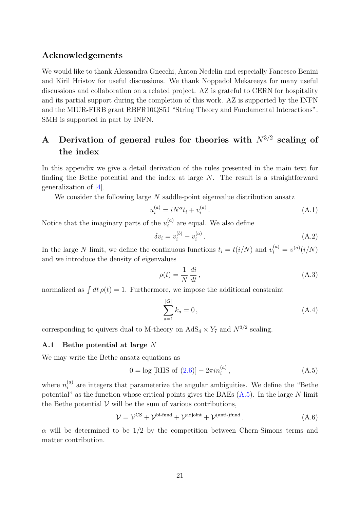## Acknowledgements

We would like to thank Alessandra Gnecchi, Anton Nedelin and especially Fancesco Benini and Kiril Hristov for useful discussions. We thank Noppadol Mekareeya for many useful discussions and collaboration on a related project. AZ is grateful to CERN for hospitality and its partial support during the completion of this work. AZ is supported by the INFN and the MIUR-FIRB grant RBFR10QS5J "String Theory and Fundamental Interactions". SMH is supported in part by INFN.

## <span id="page-21-0"></span>A Derivation of general rules for theories with  $N^{3/2}$  scaling of the index

In this appendix we give a detail derivation of the rules presented in the main text for finding the Bethe potential and the index at large N. The result is a straightforward generalization of [\[4\]](#page-36-3).

We consider the following large N saddle-point eigenvalue distribution ansatz

<span id="page-21-3"></span>
$$
u_i^{(a)} = iN^{\alpha}t_i + v_i^{(a)}.
$$
\n(A.1)

Notice that the imaginary parts of the  $u_i^{(a)}$  $i_i^{(a)}$  are equal. We also define

$$
\delta v_i = v_i^{(b)} - v_i^{(a)}.
$$
\n(A.2)

In the large N limit, we define the continuous functions  $t_i = t(i/N)$  and  $v_i^{(a)} = v^{(a)}(i/N)$ and we introduce the density of eigenvalues

$$
\rho(t) = \frac{1}{N} \frac{di}{dt},\tag{A.3}
$$

normalized as  $\int dt \, \rho(t) = 1$ . Furthermore, we impose the additional constraint

<span id="page-21-2"></span>
$$
\sum_{a=1}^{|G|} k_a = 0, \tag{A.4}
$$

corresponding to quivers dual to M-theory on  $AdS_4 \times Y_7$  and  $N^{3/2}$  scaling.

#### <span id="page-21-1"></span>A.1 Bethe potential at large N

We may write the Bethe ansatz equations as

$$
0 = \log [\text{RHS of (2.6)}] - 2\pi i n_i^{(a)}, \qquad (A.5)
$$

where  $n_i^{(a)}$  $\binom{a}{i}$  are integers that parameterize the angular ambiguities. We define the "Bethe potential" as the function whose critical points gives the BAEs  $(A.5)$ . In the large N limit the Bethe potential  $V$  will be the sum of various contributions,

$$
\mathcal{V} = \mathcal{V}^{\text{CS}} + \mathcal{V}^{\text{bi-fund}} + \mathcal{V}^{\text{adjoint}} + \mathcal{V}^{\text{(anti-)fund}}.
$$
\n(A.6)

 $\alpha$  will be determined to be 1/2 by the competition between Chern-Simons terms and matter contribution.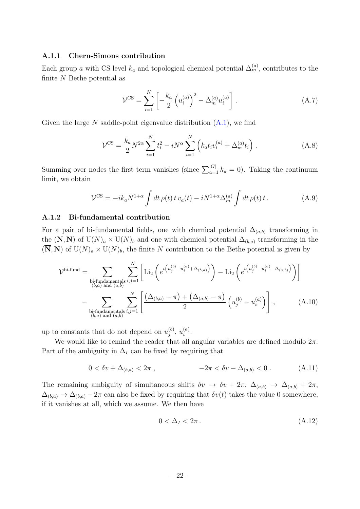#### A.1.1 Chern-Simons contribution

Each group a with CS level  $k_a$  and topological chemical potential  $\Delta_m^{(a)}$ , contributes to the finite N Bethe potential as

$$
\mathcal{V}^{\text{CS}} = \sum_{i=1}^{N} \left[ -\frac{k_a}{2} \left( u_i^{(a)} \right)^2 - \Delta_m^{(a)} u_i^{(a)} \right]. \tag{A.7}
$$

Given the large N saddle-point eigenvalue distribution  $(A.1)$ , we find

$$
\mathcal{V}^{\text{CS}} = \frac{k_a}{2} N^{2\alpha} \sum_{i=1}^{N} t_i^2 - iN^{\alpha} \sum_{i=1}^{N} \left( k_a t_i v_i^{(a)} + \Delta_m^{(a)} t_i \right) . \tag{A.8}
$$

Summing over nodes the first term vanishes (since  $\sum_{a=1}^{|G|} k_a = 0$ ). Taking the continuum limit, we obtain

$$
\mathcal{V}^{\text{CS}} = -ik_a N^{1+\alpha} \int dt \,\rho(t) \, t \, v_a(t) - i N^{1+\alpha} \Delta_m^{(a)} \int dt \,\rho(t) \, t \,. \tag{A.9}
$$

#### <span id="page-22-1"></span>A.1.2 Bi-fundamental contribution

For a pair of bi-fundamental fields, one with chemical potential  $\Delta_{(a,b)}$  transforming in the  $(N, N)$  of U $(N)_a \times U(N)_b$  and one with chemical potential  $\Delta_{(b,a)}$  transforming in the  $(\overline{N}, N)$  of  $U(N)<sub>a</sub> \times U(N)<sub>b</sub>$ , the finite N contribution to the Bethe potential is given by

$$
\mathcal{V}^{\text{bi-fund}} = \sum_{\substack{\text{bi-fundamentals } i,j=1 \\ (b,a) \text{ and } (a,b)}} \sum_{i,j=1}^{N} \left[ \text{Li}_2\left(e^{i\left(u_j^{(b)} - u_i^{(a)} + \Delta_{(b,a)}\right)}\right) - \text{Li}_2\left(e^{i\left(u_j^{(b)} - u_i^{(a)} - \Delta_{(a,b)}\right)}\right) \right]
$$

$$
- \sum_{\substack{\text{bi-fundamentals } i,j=1 \\ (b,a) \text{ and } (a,b)}} \sum_{i,j=1}^{N} \left[ \frac{(\Delta_{(b,a)} - \pi) + (\Delta_{(a,b)} - \pi)}{2} \left(u_j^{(b)} - u_i^{(a)}\right) \right], \tag{A.10}
$$

up to constants that do not depend on  $u_i^{(b)}$  $\stackrel{(b)}{j},\, u_i^{(a)}$  $\binom{a}{i}$ .

We would like to remind the reader that all angular variables are defined modulo  $2\pi$ . Part of the ambiguity in  $\Delta_I$  can be fixed by requiring that

$$
0 < \delta v + \Delta_{(b,a)} < 2\pi , \qquad -2\pi < \delta v - \Delta_{(a,b)} < 0 . \qquad (A.11)
$$

The remaining ambiguity of simultaneous shifts  $\delta v \to \delta v + 2\pi$ ,  $\Delta_{(a,b)} \to \Delta_{(a,b)} + 2\pi$ ,  $\Delta_{(b,a)} \to \Delta_{(b,a)} - 2\pi$  can also be fixed by requiring that  $\delta v(t)$  takes the value 0 somewhere, if it vanishes at all, which we assume. We then have

<span id="page-22-0"></span>
$$
0 < \Delta_I < 2\pi \,. \tag{A.12}
$$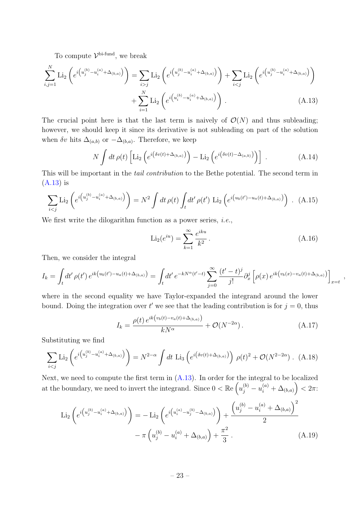To compute  $\mathcal{V}^{\text{bi-fund}}$ , we break

$$
\sum_{i,j=1}^{N} \text{Li}_2\left(e^{i\left(u_j^{(b)} - u_i^{(a)} + \Delta_{(b,a)}\right)}\right) = \sum_{i>j} \text{Li}_2\left(e^{i\left(u_j^{(b)} - u_i^{(a)} + \Delta_{(b,a)}\right)}\right) + \sum_{i\n(A.13)
$$

The crucial point here is that the last term is naively of  $\mathcal{O}(N)$  and thus subleading; however, we should keep it since its derivative is not subleading on part of the solution when  $\delta v$  hits  $\Delta_{(a,b)}$  or  $-\Delta_{(b,a)}$ . Therefore, we keep

<span id="page-23-1"></span>
$$
N \int dt \,\rho(t) \left[ \text{Li}_2\left(e^{i\left(\delta v(t) + \Delta_{(b,a)}\right)}\right) - \text{Li}_2\left(e^{i\left(\delta v(t) - \Delta_{(a,b)}\right)}\right) \right] \,. \tag{A.14}
$$

This will be important in the *tail contribution* to the Bethe potential. The second term in [\(A.13\)](#page-23-2) is

$$
\sum_{i < j} \text{Li}_2\left(e^{i\left(u_j^{(b)} - u_i^{(a)} + \Delta_{(b,a)}\right)}\right) = N^2 \int dt \,\rho(t) \int_t dt' \,\rho(t') \, \text{Li}_2\left(e^{i\left(u_b(t') - u_a(t) + \Delta_{(b,a)}\right)}\right) \,. \tag{A.15}
$$

We first write the dilogarithm function as a power series, *i.e.*,

<span id="page-23-2"></span>
$$
\text{Li}_2(e^{iu}) = \sum_{k=1}^{\infty} \frac{e^{iku}}{k^2} \,. \tag{A.16}
$$

Then, we consider the integral

$$
I_k = \int_t dt' \, \rho(t') \, e^{ik(u_b(t') - u_a(t) + \Delta_{(b,a)})} = \int_t dt' \, e^{-kN^{\alpha}(t'-t)} \sum_{j=0}^{\infty} \frac{(t'-t)^j}{j!} \partial_x^j \left[ \rho(x) \, e^{ik(v_b(x) - v_a(t) + \Delta_{(b,a)})} \right]_{x=t} \; ,
$$

where in the second equality we have Taylor-expanded the integrand around the lower bound. Doing the integration over t' we see that the leading contribution is for  $j = 0$ , thus

<span id="page-23-0"></span>
$$
I_k = \frac{\rho(t) e^{ik(v_b(t) - v_a(t) + \Delta_{(b,a)})}}{kN^{\alpha}} + \mathcal{O}(N^{-2\alpha}).
$$
\n(A.17)

Substituting we find

<span id="page-23-3"></span>
$$
\sum_{i < j} \text{Li}_2\left(e^{i\left(u_j^{(b)} - u_i^{(a)} + \Delta_{(b,a)}\right)}\right) = N^{2-\alpha} \int dt \text{ Li}_3\left(e^{i\left(\delta v(t) + \Delta_{(b,a)}\right)}\right) \rho(t)^2 + \mathcal{O}(N^{2-2\alpha}) \tag{A.18}
$$

Next, we need to compute the first term in  $(A.13)$ . In order for the integral to be localized at the boundary, we need to invert the integrand. Since  $0 < \mathbb{R}e\left(u^{(b)}_j - u^{(a)}_i + \Delta_{(b,a)}\right) < 2\pi$ :

$$
\text{Li}_2\left(e^{i\left(u_j^{(b)} - u_i^{(a)} + \Delta_{(b,a)}\right)}\right) = -\text{Li}_2\left(e^{i\left(u_i^{(a)} - u_j^{(b)} - \Delta_{(b,a)}\right)}\right) + \frac{\left(u_j^{(b)} - u_i^{(a)} + \Delta_{(b,a)}\right)^2}{2} - \pi\left(u_j^{(b)} - u_i^{(a)} + \Delta_{(b,a)}\right) + \frac{\pi^2}{3} \tag{A.19}
$$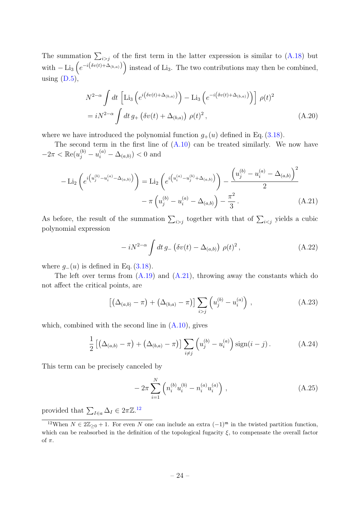The summation  $\sum_{i>j}$  of the first term in the latter expression is similar to [\(A.18\)](#page-23-3) but with  $-\text{Li}_3\left(e^{-i(\delta v(t)+\Delta_{(b,a)})}\right)$  instead of Li<sub>3</sub>. The two contributions may then be combined, using  $(D.5)$ ,

$$
N^{2-\alpha} \int dt \left[ \text{Li}_3\left(e^{i\left(\delta v(t) + \Delta_{(b,a)}\right)}\right) - \text{Li}_3\left(e^{-i\left(\delta v(t) + \Delta_{(b,a)}\right)}\right) \right] \rho(t)^2
$$
  
=  $iN^{2-\alpha} \int dt \, g_+\left(\delta v(t) + \Delta_{(b,a)}\right) \rho(t)^2,$  (A.20)

where we have introduced the polynomial function  $g_{+}(u)$  defined in Eq. [\(3.18\)](#page-9-4).

The second term in the first line of  $(A.10)$  can be treated similarly. We now have  $-2\pi < \mathbb{Re}(u_j^{(b)} - u_i^{(a)} - \Delta_{(a,b)}) < 0$  and

$$
- \text{Li}_2\left(e^{i\left(u_j^{(b)} - u_i^{(a)} - \Delta_{(a,b)}\right)}\right) = \text{Li}_2\left(e^{i\left(u_i^{(a)} - u_j^{(b)} + \Delta_{(a,b)}\right)}\right) - \frac{\left(u_j^{(b)} - u_i^{(a)} - \Delta_{(a,b)}\right)^2}{2}
$$

$$
- \pi\left(u_j^{(b)} - u_i^{(a)} - \Delta_{(a,b)}\right) - \frac{\pi^2}{3}.
$$
(A.21)

As before, the result of the summation  $\sum_{i>j}$  together with that of  $\sum_{i yields a cubic$ polynomial expression

<span id="page-24-0"></span>
$$
-iN^{2-\alpha}\int dt\,g_-\left(\delta v(t)-\Delta_{(a,b)}\right)\,\rho(t)^2\,,\tag{A.22}
$$

where  $g_-(u)$  is defined in Eq. [\(3.18\)](#page-9-4).

The left over terms from  $(A.19)$  and  $(A.21)$ , throwing away the constants which do not affect the critical points, are

$$
\left[ \left( \Delta_{(a,b)} - \pi \right) + \left( \Delta_{(b,a)} - \pi \right) \right] \sum_{i > j} \left( u_j^{(b)} - u_i^{(a)} \right) , \tag{A.23}
$$

which, combined with the second line in  $(A.10)$ , gives

<span id="page-24-1"></span>
$$
\frac{1}{2}\left[\left(\Delta_{(a,b)}-\pi\right)+\left(\Delta_{(b,a)}-\pi\right)\right]\sum_{i\neq j}\left(u_j^{(b)}-u_i^{(a)}\right)\text{sign}(i-j). \tag{A.24}
$$

This term can be precisely canceled by

$$
-2\pi \sum_{i=1}^{N} \left( n_i^{(b)} u_i^{(b)} - n_i^{(a)} u_i^{(a)} \right) , \qquad (A.25)
$$

provided that  $\sum_{I \in a} \Delta_I \in 2\pi \mathbb{Z}$ .<sup>[12](#page-24-2)</sup>

<span id="page-24-2"></span><sup>&</sup>lt;sup>12</sup>When  $N \in 2\mathbb{Z}_{\geq 0} + 1$ . For even N one can include an extra  $(-1)^m$  in the twisted partition function, which can be reabsorbed in the definition of the topological fugacity  $\xi$ , to compensate the overall factor of  $\pi$ .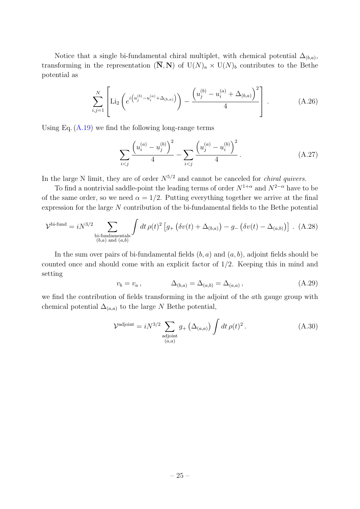Notice that a single bi-fundamental chiral multiplet, with chemical potential  $\Delta_{(b,a)}$ , transforming in the representation  $(\overline{N}, N)$  of  $U(N)_a \times U(N)_b$  contributes to the Bethe potential as

$$
\sum_{i,j=1}^{N} \left[ \text{Li}_2\left(e^{i\left(u_j^{(b)} - u_i^{(a)} + \Delta_{(b,a)}\right)}\right) - \frac{\left(u_j^{(b)} - u_i^{(a)} + \Delta_{(b,a)}\right)^2}{4}\right].
$$
 (A.26)

Using Eq.  $(A.19)$  we find the following long-range terms

<span id="page-25-0"></span>
$$
\sum_{i < j} \frac{\left(u_i^{(a)} - u_j^{(b)}\right)^2}{4} - \sum_{i < j} \frac{\left(u_j^{(a)} - u_i^{(b)}\right)^2}{4} \,. \tag{A.27}
$$

In the large N limit, they are of order  $N^{5/2}$  and cannot be canceled for *chiral quivers*.

To find a nontrivial saddle-point the leading terms of order  $N^{1+\alpha}$  and  $N^{2-\alpha}$  have to be of the same order, so we need  $\alpha = 1/2$ . Putting everything together we arrive at the final expression for the large N contribution of the bi-fundamental fields to the Bethe potential

$$
\mathcal{V}^{\text{bi-fund}} = iN^{3/2} \sum_{\substack{\text{bi-fundamentals} \\ (b,a) \text{ and } (a,b)}} \int dt \,\rho(t)^2 \left[ g_+\left(\delta v(t) + \Delta_{(b,a)}\right) - g_-\left(\delta v(t) - \Delta_{(a,b)}\right) \right] \,. \tag{A.28}
$$

In the sum over pairs of bi-fundamental fields  $(b, a)$  and  $(a, b)$ , adjoint fields should be counted once and should come with an explicit factor of 1/2. Keeping this in mind and setting

$$
v_b = v_a
$$
,  $\Delta_{(b,a)} = \Delta_{(a,b)} = \Delta_{(a,a)}$ , (A.29)

we find the contribution of fields transforming in the adjoint of the ath gauge group with chemical potential  $\Delta_{(a,a)}$  to the large N Bethe potential,

$$
\mathcal{V}^{\text{adjoint}} = iN^{3/2} \sum_{\substack{\text{adjoint} \\ (a,a)}} g_+ \left( \Delta_{(a,a)} \right) \int dt \, \rho(t)^2 \,. \tag{A.30}
$$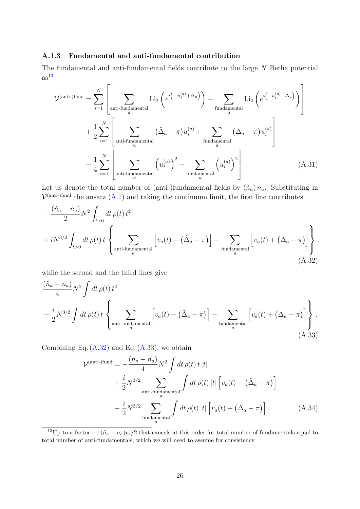#### <span id="page-26-4"></span>A.1.3 Fundamental and anti-fundamental contribution

The fundamental and anti-fundamental fields contribute to the large N Bethe potential  $as<sup>13</sup>$  $as<sup>13</sup>$  $as<sup>13</sup>$ 

$$
\mathcal{V}^{(\text{anti-)fund}} = \sum_{i=1}^{N} \left[ \sum_{\substack{\text{anti-fundamental} \\ a}} \text{Li}_2\left(e^{i\left(-u_i^{(a)} + \tilde{\Delta}_a\right)}\right) - \sum_{\substack{\text{fundamental} \\ a}} \text{Li}_2\left(e^{i\left(-u_i^{(a)} - \Delta_a\right)}\right) \right]
$$
  
+ 
$$
\frac{1}{2} \sum_{i=1}^{N} \left[ \sum_{\substack{\text{anti-fundamental} \\ a}} (\tilde{\Delta}_a - \pi) u_i^{(a)} + \sum_{\substack{\text{fundamental} \\ a}} (\Delta_a - \pi) u_i^{(a)} \right]
$$
  
- 
$$
\frac{1}{4} \sum_{i=1}^{N} \left[ \sum_{\substack{\text{anti-fundamental} \\ a}} \left(u_i^{(a)}\right)^2 - \sum_{\substack{\text{fundamental} \\ a}} \left(u_i^{(a)}\right)^2 \right].
$$
 (A.31)

Let us denote the total number of (anti-)fundamental fields by  $(\tilde{n}_a) n_a$ . Substituting in  $\mathcal{V}^{\text{(anti-)fund}}$  the ansatz  $(A.1)$  and taking the continuum limit, the first line contributes

$$
-\frac{(\tilde{n}_a - n_a)}{2} N^2 \int_{t>0} dt \,\rho(t) \, t^2
$$
  
+  $i N^{3/2} \int_{t>0} dt \,\rho(t) \, t \left\{ \sum_{\text{anti-fundamental}} \left[ v_a(t) - (\tilde{\Delta}_a - \pi) \right] - \sum_{\text{fundamental}} \left[ v_a(t) + (\Delta_a - \pi) \right] \right\},$   
(A.32)

while the second and the third lines give

$$
\frac{(\tilde{n}_a - n_a)}{4} N^2 \int dt \,\rho(t) \, t^2
$$
\n
$$
-\frac{i}{2} N^{3/2} \int dt \,\rho(t) \, t \left\{ \sum_{\text{anti-fundamental}} \left[ v_a(t) - (\tilde{\Delta}_a - \pi) \right] - \sum_{\text{fundamental}} \left[ v_a(t) + (\Delta_a - \pi) \right] \right\}.
$$
\n(A.33)

Combining Eq.  $(A.32)$  and Eq.  $(A.33)$ , we obtain

<span id="page-26-3"></span><span id="page-26-2"></span><span id="page-26-0"></span>
$$
\mathcal{V}^{\text{(anti-)fund}} = -\frac{(\tilde{n}_a - n_a)}{4} N^2 \int dt \,\rho(t) \, t \, |t|
$$
  
+ 
$$
\frac{i}{2} N^{3/2} \sum_{\text{anti-fundamental} \atop \text{fundamental}} \int dt \,\rho(t) \, |t| \left[ v_a(t) - (\tilde{\Delta}_a - \pi) \right]
$$

$$
- \frac{i}{2} N^{3/2} \sum_{\text{fundamental} \atop \text{andamental}} \int dt \,\rho(t) \, |t| \left[ v_a(t) + (\Delta_a - \pi) \right]. \tag{A.34}
$$

<span id="page-26-1"></span><sup>13</sup>Up to a factor  $-\pi(\tilde{n}_a - n_a)u_i/2$  that cancels at this order for total number of fundamentals equal to total number of anti-fundamentals, which we will need to assume for consistency.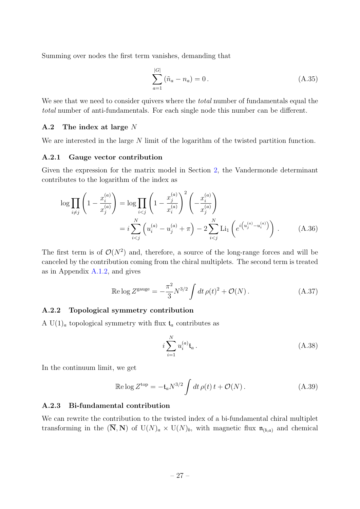Summing over nodes the first term vanishes, demanding that

$$
\sum_{a=1}^{|G|} (\tilde{n}_a - n_a) = 0.
$$
\n(A.35)

We see that we need to consider quivers where the *total* number of fundamentals equal the total number of anti-fundamentals. For each single node this number can be different.

#### <span id="page-27-0"></span>A.2 The index at large N

We are interested in the large N limit of the logarithm of the twisted partition function.

#### A.2.1 Gauge vector contribution

Given the expression for the matrix model in Section [2,](#page-4-0) the Vandermonde determinant contributes to the logarithm of the index as

$$
\log \prod_{i \neq j} \left( 1 - \frac{x_i^{(a)}}{x_j^{(a)}} \right) = \log \prod_{i < j} \left( 1 - \frac{x_j^{(a)}}{x_i^{(a)}} \right)^2 \left( -\frac{x_i^{(a)}}{x_j^{(a)}} \right)
$$
\n
$$
= i \sum_{i < j}^N \left( u_i^{(a)} - u_j^{(a)} + \pi \right) - 2 \sum_{i < j}^N \text{Li}_1 \left( e^{i \left( u_j^{(a)} - u_i^{(a)} \right)} \right) . \tag{A.36}
$$

The first term is of  $\mathcal{O}(N^2)$  and, therefore, a source of the long-range forces and will be canceled by the contribution coming from the chiral multiplets. The second term is treated as in Appendix [A.1.2,](#page-22-1) and gives

$$
\text{Re}\log Z^{\text{gauge}} = -\frac{\pi^2}{3} N^{3/2} \int dt \,\rho(t)^2 + \mathcal{O}(N) \,. \tag{A.37}
$$

#### A.2.2 Topological symmetry contribution

A U(1)<sub>a</sub> topological symmetry with flux  $t_a$  contributes as

<span id="page-27-1"></span>
$$
i\sum_{i=1}^{N} u_i^{(a)} \mathfrak{t}_a \,. \tag{A.38}
$$

In the continuum limit, we get

$$
\operatorname{Re}\log Z^{\text{top}} = -\mathfrak{t}_a N^{3/2} \int dt \,\rho(t) \, t + \mathcal{O}(N) \,. \tag{A.39}
$$

#### A.2.3 Bi-fundamental contribution

We can rewrite the contribution to the twisted index of a bi-fundamental chiral multiplet transforming in the  $(\overline{N}, N)$  of  $U(N)<sub>a</sub> \times U(N)<sub>b</sub>$ , with magnetic flux  $\mathfrak{n}_{(b,a)}$  and chemical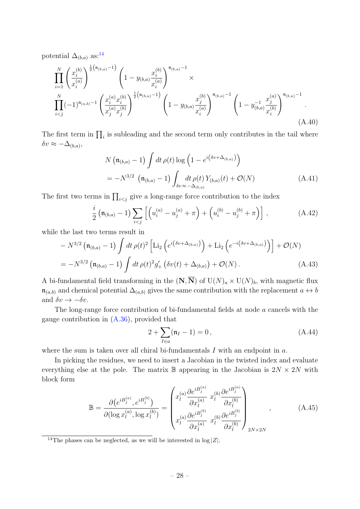potential  $\Delta_{(b,a)}$  as:<sup>[14](#page-28-1)</sup>

$$
\prod_{i=1}^{N} \left(\frac{x_i^{(b)}}{x_i^{(a)}}\right)^{\frac{1}{2}\left(\mathfrak{n}_{(b,a)}-1\right)} \left(1 - y_{(b,a)} \frac{x_i^{(b)}}{x_i^{(a)}}\right)^{\mathfrak{n}_{(b,a)}-1} \times \prod_{i
$$

The first term in  $\prod_i$  is subleading and the second term only contributes in the tail where  $\delta v \approx -\Delta_{(b,a)},$ 

$$
N\left(\mathfrak{n}_{(b,a)}-1\right) \int dt \,\rho(t) \log\left(1 - e^{i\left(\delta v + \Delta_{(b,a)}\right)}\right)
$$
  
=  $-N^{3/2} \left(\mathfrak{n}_{(b,a)}-1\right) \int_{\delta v \approx -\Delta_{(b,a)}} dt \,\rho(t) Y_{(b,a)}(t) + \mathcal{O}(N)$  (A.41)

The first two terms in  $\prod_{i < j}$  give a long-range force contribution to the index

<span id="page-28-0"></span>
$$
\frac{i}{2} \left( \mathfrak{n}_{(b,a)} - 1 \right) \sum_{i < j} \left[ \left( u_i^{(a)} - u_j^{(a)} + \pi \right) + \left( u_i^{(b)} - u_j^{(b)} + \pi \right) \right] \,, \tag{A.42}
$$

while the last two terms result in

$$
- N^{3/2} \left( \mathfrak{n}_{(b,a)} - 1 \right) \int dt \, \rho(t)^2 \left[ \text{Li}_2 \left( e^{i \left( \delta v + \Delta_{(b,a)} \right)} \right) + \text{Li}_2 \left( e^{-i \left( \delta v + \Delta_{(b,a)} \right)} \right) \right] + \mathcal{O}(N)
$$
\n
$$
= -N^{3/2} \left( \mathfrak{n}_{(b,a)} - 1 \right) \int dt \, \rho(t)^2 g'_+ \left( \delta v(t) + \Delta_{(b,a)} \right) + \mathcal{O}(N) \,. \tag{A.43}
$$

A bi-fundamental field transforming in the  $(N, \overline{N})$  of  $U(N)<sub>a</sub> \times U(N)<sub>b</sub>$ , with magnetic flux  $\mathfrak{n}_{(a,b)}$  and chemical potential  $\Delta_{(a,b)}$  gives the same contribution with the replacement  $a \leftrightarrow b$ and  $\delta v \rightarrow -\delta v$ .

The long-range force contribution of bi-fundamental fields at node a cancels with the gauge contribution in  $(A.36)$ , provided that

$$
2 + \sum_{I \in a} (\mathfrak{n}_I - 1) = 0, \tag{A.44}
$$

where the sum is taken over all chiral bi-fundamentals  $I$  with an endpoint in  $a$ .

In picking the residues, we need to insert a Jacobian in the twisted index and evaluate everything else at the pole. The matrix  $\mathbb B$  appearing in the Jacobian is  $2N \times 2N$  with block form

$$
\mathbb{B} = \frac{\partial (e^{i B_j^{(a)}, e^{i B_j^{(b)}}})}{\partial (\log x_l^{(a)}, \log x_l^{(b)})} = \begin{pmatrix} x_l^{(a)} \frac{\partial e^{i B_j^{(a)}}}{\partial x_l^{(a)}} & x_l^{(b)} \frac{\partial e^{i B_j^{(a)}}}{\partial x_l^{(b)}} \\ x_l^{(a)} \frac{\partial e^{i B_j^{(b)}}}{\partial x_l^{(a)}} & x_l^{(b)} \frac{\partial e^{i B_j^{(b)}}}{\partial x_l^{(b)}} \end{pmatrix}_{2N \times 2N},
$$
\n(A.45)

<span id="page-28-1"></span><sup>&</sup>lt;sup>14</sup>The phases can be neglected, as we will be interested in  $log |Z|$ .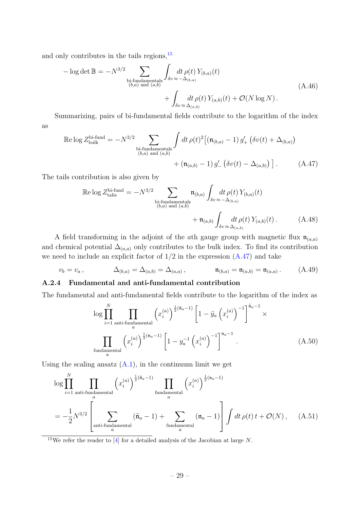and only contributes in the tails regions,  $15$ 

$$
-\log \det \mathbb{B} = -N^{3/2} \sum_{\substack{\text{bi-fundamentals} \\ (b,a) \text{ and } (a,b)}} \int_{\delta v \approx -\Delta_{(b,a)}} dt \,\rho(t) \, Y_{(b,a)}(t) + \int_{\delta v \approx \Delta_{(a,b)}} dt \,\rho(t) \, Y_{(a,b)}(t) + \mathcal{O}(N \log N) \,.
$$
\n(A.46)

Summarizing, pairs of bi-fundamental fields contribute to the logarithm of the index as

$$
\mathbb{R}\text{e}\log Z^{\text{bi-fund}}_{\text{bulk}} = -N^{3/2} \sum_{\substack{\text{bi-fundamentals} \\ (b,a) \text{ and } (a,b)}} \int dt \,\rho(t)^2 \big[ (\mathfrak{n}_{(b,a)} - 1) \, g'_+ \left( \delta v(t) + \Delta_{(b,a)} \right) + (\mathfrak{n}_{(a,b)} - 1) \, g'_- \left( \delta v(t) - \Delta_{(a,b)} \right) \big]. \tag{A.47}
$$

The tails contribution is also given by

<span id="page-29-1"></span>
$$
\mathbb{R}\text{e}\log Z^{\text{bi-fund}}_{\text{tallis}} = -N^{3/2} \sum_{\substack{\text{bi-fundamentals} \\ (b,a) \text{ and } (a,b)}} \mathfrak{n}_{(b,a)} \int_{\delta v} dt \,\rho(t) \, Y_{(b,a)}(t) + \mathfrak{n}_{(a,b)} \int_{\delta v} dt \,\rho(t) \, Y_{(a,b)}(t) \,. \tag{A.48}
$$

A field transforming in the adjoint of the ath gauge group with magnetic flux  $\mathfrak{n}_{(a,a)}$ and chemical potential  $\Delta_{(a,a)}$  only contributes to the bulk index. To find its contribution we need to include an explicit factor of  $1/2$  in the expression  $(A.47)$  and take

$$
v_b = v_a, \qquad \Delta_{(b,a)} = \Delta_{(a,b)} = \Delta_{(a,a)}, \qquad \mathfrak{n}_{(b,a)} = \mathfrak{n}_{(a,b)} = \mathfrak{n}_{(a,a)}.
$$
 (A.49)

#### A.2.4 Fundamental and anti-fundamental contribution

The fundamental and anti-fundamental fields contribute to the logarithm of the index as

$$
\log \prod_{i=1}^{N} \prod_{\substack{\text{anti-fundamental} \\ a}} \left( x_i^{(a)} \right)^{\frac{1}{2}(\tilde{n}_a - 1)} \left[ 1 - \tilde{y}_a \left( x_i^{(a)} \right)^{-1} \right]^{\tilde{n}_a - 1} \times \prod_{\substack{\text{fundamental} \\ a}} \left( x_i^{(a)} \right)^{\frac{1}{2}(n_a - 1)} \left[ 1 - y_a^{-1} \left( x_i^{(a)} \right)^{-1} \right]^{n_a - 1} . \tag{A.50}
$$

Using the scaling ansatz  $(A.1)$ , in the continuum limit we get

$$
\log \prod_{i=1}^{N} \prod_{\text{anti-fundamental}} \left(x_i^{(a)}\right)^{\frac{1}{2}(\tilde{\mathfrak{n}}_a - 1)} \prod_{\text{fundamental} \atop a} \left(x_i^{(a)}\right)^{\frac{1}{2}(\mathfrak{n}_a - 1)}
$$

$$
= -\frac{1}{2} N^{3/2} \left[ \sum_{\text{anti-fundamental} \atop a} (\tilde{\mathfrak{n}}_a - 1) + \sum_{\text{fundamental} \atop a} (\mathfrak{n}_a - 1) \right] \int dt \,\rho(t) \, t + \mathcal{O}(N) \,, \tag{A.51}
$$

<span id="page-29-0"></span><sup>15</sup>We refer the reader to [\[4\]](#page-36-3) for a detailed analysis of the Jacobian at large N.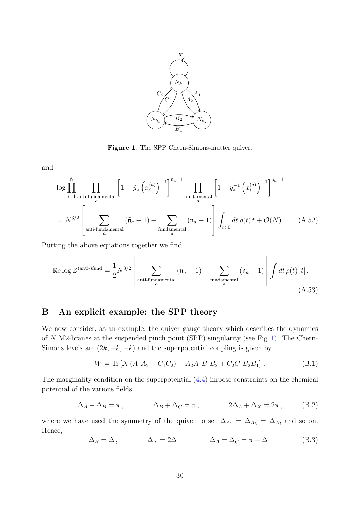<span id="page-30-1"></span>

Figure 1. The SPP Chern-Simons-matter quiver.

and

$$
\log \prod_{i=1}^{N} \prod_{\text{anti-fundamental}} \left[ 1 - \tilde{y}_a \left( x_i^{(a)} \right)^{-1} \right]^{\tilde{\mathfrak{n}}_a - 1} \prod_{\text{fundamental}} \left[ 1 - y_a^{-1} \left( x_i^{(a)} \right)^{-1} \right]^{\mathfrak{n}_a - 1}
$$

$$
= N^{3/2} \left[ \sum_{\text{anti-fundamental}} (\tilde{\mathfrak{n}}_a - 1) + \sum_{\text{fundamental}} (\mathfrak{n}_a - 1) \right] \int_{t > 0} dt \, \rho(t) \, t + \mathcal{O}(N) \,. \tag{A.52}
$$

Putting the above equations together we find:

$$
\operatorname{Re}\log Z^{(\text{anti-)fund}} = \frac{1}{2} N^{3/2} \left[ \sum_{\substack{\text{anti-fundamental} \\ a}} (\tilde{\mathfrak{n}}_a - 1) + \sum_{\substack{\text{fundamental} \\ a}} (\mathfrak{n}_a - 1) \right] \int dt \,\rho(t) \, |t| \,.
$$
\n(A.53)

## <span id="page-30-0"></span>B An explicit example: the SPP theory

We now consider, as an example, the quiver gauge theory which describes the dynamics of N M2-branes at the suspended pinch point (SPP) singularity (see Fig. [1\)](#page-30-1). The Chern-Simons levels are  $(2k, -k, -k)$  and the superpotential coupling is given by

$$
W = \text{Tr}\left[X\left(A_1A_2 - C_1C_2\right) - A_2A_1B_1B_2 + C_2C_1B_2B_1\right].\tag{B.1}
$$

The marginality condition on the superpotential [\(4.4\)](#page-14-2) impose constraints on the chemical potential of the various fields

$$
\Delta_A + \Delta_B = \pi \,, \qquad \Delta_B + \Delta_C = \pi \,, \qquad 2\Delta_A + \Delta_X = 2\pi \,, \qquad (B.2)
$$

where we have used the symmetry of the quiver to set  $\Delta_{A_1} = \Delta_{A_2} = \Delta_A$ , and so on. Hence,

$$
\Delta_B = \Delta \,, \qquad \qquad \Delta_X = 2\Delta \,, \qquad \qquad \Delta_A = \Delta_C = \pi - \Delta \,, \tag{B.3}
$$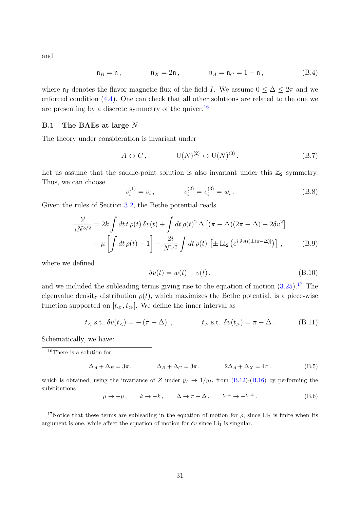and

$$
\mathfrak{n}_B = \mathfrak{n}, \qquad \qquad \mathfrak{n}_X = 2\mathfrak{n}, \qquad \qquad \mathfrak{n}_A = \mathfrak{n}_C = 1 - \mathfrak{n}, \qquad (B.4)
$$

where  $\mathfrak{n}_I$  denotes the flavor magnetic flux of the field I. We assume  $0 \leq \Delta \leq 2\pi$  and we enforced condition [\(4.4\)](#page-14-2). One can check that all other solutions are related to the one we are presenting by a discrete symmetry of the quiver.<sup>[16](#page-31-1)</sup>

#### <span id="page-31-0"></span>B.1 The BAEs at large N

The theory under consideration is invariant under

$$
A \leftrightarrow C, \qquad \qquad \mathcal{U}(N)^{(2)} \leftrightarrow \mathcal{U}(N)^{(3)}.
$$
 (B.7)

Let us assume that the saddle-point solution is also invariant under this  $\mathbb{Z}_2$  symmetry. Thus, we can choose

$$
v_i^{(1)} = v_i, \qquad \qquad v_i^{(2)} = v_i^{(3)} = w_i. \tag{B.8}
$$

Given the rules of Section [3.2,](#page-9-0) the Bethe potential reads

$$
\frac{\mathcal{V}}{iN^{3/2}} = 2k \int dt \, t \, \rho(t) \, \delta v(t) + \int dt \, \rho(t)^2 \, \Delta \left[ (\pi - \Delta)(2\pi - \Delta) - 2\delta v^2 \right] \n- \mu \left[ \int dt \, \rho(t) - 1 \right] - \frac{2i}{N^{1/2}} \int dt \, \rho(t) \left[ \pm \text{Li}_2 \left( e^{i[\delta v(t) \pm (\pi - \Delta)]} \right) \right], \tag{B.9}
$$

where we defined

$$
\delta v(t) = w(t) - v(t), \qquad (B.10)
$$

and we included the subleading terms giving rise to the equation of motion  $(3.25).^{17}$  $(3.25).^{17}$  $(3.25).^{17}$  The eigenvalue density distribution  $\rho(t)$ , which maximizes the Bethe potential, is a piece-wise function supported on  $[t_{\ll}, t_{\gg}]$ . We define the inner interval as

$$
t_{<} \text{ s.t. } \delta v(t_{<} ) = -(\pi - \Delta) \text{ , } \qquad t_{>} \text{ s.t. } \delta v(t_{>} ) = \pi - \Delta \text{ . } \qquad \text{(B.11)}
$$

Schematically, we have:

<span id="page-31-1"></span><sup>16</sup>There is a solution for

$$
\Delta_A + \Delta_B = 3\pi \,, \qquad \Delta_B + \Delta_C = 3\pi \,, \qquad 2\Delta_A + \Delta_X = 4\pi \,. \tag{B.5}
$$

which is obtained, using the invariance of Z under  $y_I \rightarrow 1/y_I$ , from [\(B.12\)](#page-32-1)-[\(B.16\)](#page-32-2) by performing the substitutions

 $\mu \rightarrow -\mu \,, \qquad k \rightarrow -k \,, \qquad \Delta \rightarrow \pi - \Delta \,, \qquad Y^{\pm} \rightarrow -Y^{\pm} \,.$  $(B.6)$ 

<span id="page-31-2"></span><sup>17</sup>Notice that these terms are subleading in the equation of motion for  $\rho$ , since Li<sub>2</sub> is finite when its argument is one, while affect the equation of motion for  $\delta v$  since Li<sub>1</sub> is singular.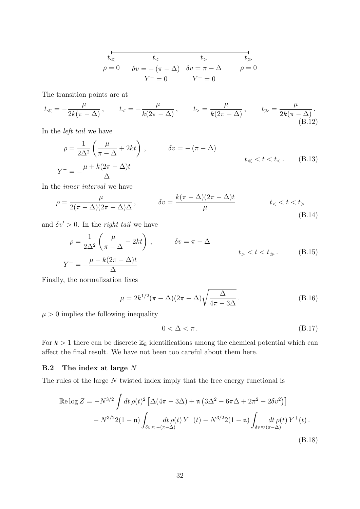$$
t\overline{\leftarrow} t\overline{\leftarrow} t\overline{\leftarrow} t\overline{\leftarrow} t\overline{\leftarrow} t\overline{\leftarrow} t\overline{\leftarrow} t\overline{\leftarrow}
$$
  
\n
$$
\rho = 0 \quad \delta v = -(\pi - \Delta) \quad \delta v = \pi - \Delta \quad \rho = 0
$$
  
\n
$$
Y^- = 0 \quad Y^+ = 0
$$

The transition points are at

<span id="page-32-1"></span>
$$
t_{\ll} = -\frac{\mu}{2k(\pi - \Delta)}, \qquad t_{\ll} = -\frac{\mu}{k(2\pi - \Delta)}, \qquad t_{\gg} = \frac{\mu}{k(2\pi - \Delta)}, \qquad t_{\gg} = \frac{\mu}{2k(\pi - \Delta)}.
$$
\n(B.12)

In the left tail we have

$$
\rho = \frac{1}{2\Delta^2} \left( \frac{\mu}{\pi - \Delta} + 2kt \right), \qquad \delta v = -(\pi - \Delta)
$$
  

$$
Y^- = -\frac{\mu + k(2\pi - \Delta)t}{\Delta}
$$
 (B.13)

In the inner interval we have

$$
\rho = \frac{\mu}{2(\pi - \Delta)(2\pi - \Delta)\Delta}, \qquad \delta v = \frac{k(\pi - \Delta)(2\pi - \Delta)t}{\mu} \qquad t < t < t_>
$$
\n(B.14)

and  $\delta v' > 0$ . In the *right tail* we have

$$
\rho = \frac{1}{2\Delta^2} \left( \frac{\mu}{\pi - \Delta} - 2kt \right), \qquad \delta v = \pi - \Delta
$$
  

$$
Y^+ = -\frac{\mu - k(2\pi - \Delta)t}{\Delta}
$$
 (B.15)

Finally, the normalization fixes

<span id="page-32-2"></span>
$$
\mu = 2k^{1/2}(\pi - \Delta)(2\pi - \Delta)\sqrt{\frac{\Delta}{4\pi - 3\Delta}}.
$$
\n(B.16)

 $\mu > 0$  implies the following inequality

$$
0 < \Delta < \pi \,. \tag{B.17}
$$

For  $k > 1$  there can be discrete  $\mathbb{Z}_k$  identifications among the chemical potential which can affect the final result. We have not been too careful about them here.

#### <span id="page-32-0"></span>**B.2** The index at large  $N$

The rules of the large N twisted index imply that the free energy functional is

<span id="page-32-3"></span>
$$
\mathbb{R}\log Z = -N^{3/2} \int dt \,\rho(t)^2 \left[ \Delta(4\pi - 3\Delta) + \mathfrak{n} \left( 3\Delta^2 - 6\pi\Delta + 2\pi^2 - 2\delta v^2 \right) \right] - N^{3/2} 2(1 - \mathfrak{n}) \int_{\delta v \approx -(\pi - \Delta)} dt \,\rho(t) \, Y^-(t) - N^{3/2} 2(1 - \mathfrak{n}) \int_{\delta v \approx (\pi - \Delta)} dt \,\rho(t) \, Y^+(t) .
$$
\n(B.18)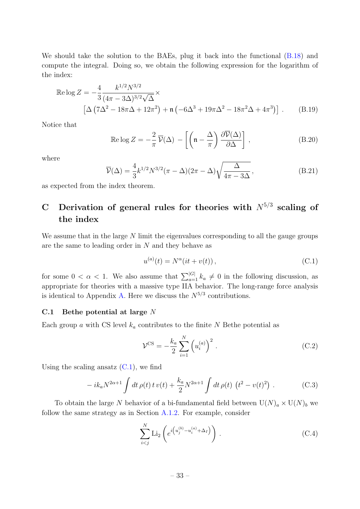We should take the solution to the BAEs, plug it back into the functional  $(B.18)$  and compute the integral. Doing so, we obtain the following expression for the logarithm of the index:

$$
\mathbb{R}\text{e}\log Z = -\frac{4}{3} \frac{k^{1/2} N^{3/2}}{(4\pi - 3\Delta)^{3/2} \sqrt{\Delta}} \times \left[ \Delta \left(7\Delta^2 - 18\pi\Delta + 12\pi^2\right) + \mathfrak{n} \left(-6\Delta^3 + 19\pi\Delta^2 - 18\pi^2\Delta + 4\pi^3\right) \right]. \tag{B.19}
$$

Notice that

$$
\operatorname{Re}\log Z = -\frac{2}{\pi}\,\overline{\mathcal{V}}(\Delta) - \left[\left(\mathfrak{n} - \frac{\Delta}{\pi}\right)\frac{\partial\overline{\mathcal{V}}(\Delta)}{\partial\Delta}\right],\tag{B.20}
$$

where

$$
\overline{\mathcal{V}}(\Delta) = \frac{4}{3} k^{1/2} N^{3/2} (\pi - \Delta)(2\pi - \Delta) \sqrt{\frac{\Delta}{4\pi - 3\Delta}},
$$
 (B.21)

as expected from the index theorem.

## <span id="page-33-0"></span>C Derivation of general rules for theories with  $N^{5/3}$  scaling of the index

We assume that in the large  $N$  limit the eigenvalues corresponding to all the gauge groups are the same to leading order in  $N$  and they behave as

<span id="page-33-2"></span>
$$
u^{(a)}(t) = N^{\alpha}(it + v(t)), \qquad (C.1)
$$

for some  $0 < \alpha < 1$ . We also assume that  $\sum_{a=1}^{|G|} k_a \neq 0$  in the following discussion, as appropriate for theories with a massive type IIA behavior. The long-range force analysis is identical to Appendix [A.](#page-21-0) Here we discuss the  $N^{5/3}$  contributions.

#### <span id="page-33-1"></span>C.1 Bethe potential at large N

Each group a with CS level  $k_a$  contributes to the finite N Bethe potential as

$$
\mathcal{V}^{\text{CS}} = -\frac{k_a}{2} \sum_{i=1}^{N} \left( u_i^{(a)} \right)^2 \,. \tag{C.2}
$$

Using the scaling ansatz  $(C.1)$ , we find

$$
-ik_a N^{2\alpha+1} \int dt \,\rho(t) \, t \, v(t) + \frac{k_a}{2} N^{2\alpha+1} \int dt \,\rho(t) \, (t^2 - v(t)^2) \; . \tag{C.3}
$$

To obtain the large N behavior of a bi-fundamental field between  $U(N)<sub>a</sub> \times U(N)<sub>b</sub>$  we follow the same strategy as in Section [A.1.2.](#page-22-1) For example, consider

$$
\sum_{i < j}^{N} \text{Li}_2\left(e^{i\left(u_j^{(b)} - u_i^{(a)} + \Delta_I\right)}\right) \,. \tag{C.4}
$$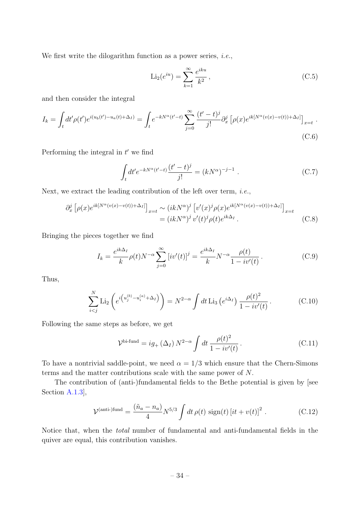We first write the dilogarithm function as a power series, *i.e.*,

$$
\text{Li}_2(e^{iu}) = \sum_{k=1}^{\infty} \frac{e^{iku}}{k^2},
$$
\n(C.5)

and then consider the integral

$$
I_k = \int_t dt' \rho(t') e^{i(u_b(t') - u_a(t) + \Delta_I)} = \int_t e^{-kN^{\alpha}(t'-t)} \sum_{j=0}^{\infty} \frac{(t'-t)^j}{j!} \partial_x^j \left[ \rho(x) e^{ik[N^{\alpha}(v(x) - v(t)) + \Delta_I]} \right]_{x=t}.
$$
\n(C.6)

Performing the integral in  $t'$  we find

$$
\int_{t} dt' e^{-kN^{\alpha}(t'-t)} \frac{(t'-t)^{j}}{j!} = (kN^{\alpha})^{-j-1} .
$$
 (C.7)

Next, we extract the leading contribution of the left over term, i.e.,

$$
\partial_x^j \left[ \rho(x) e^{ik[N^{\alpha}(v(x)-v(t))+\Delta_I]} \right]_{x=t} \sim (ikN^{\alpha})^j \left[ v'(x)^j \rho(x) e^{ik[N^{\alpha}(v(x)-v(t))+\Delta_I]} \right]_{x=t}
$$
  
=  $(ikN^{\alpha})^j v'(t)^j \rho(t) e^{ik\Delta_I}$ . (C.8)

Bringing the pieces together we find

$$
I_k = \frac{e^{ik\Delta_I}}{k} \rho(t) N^{-\alpha} \sum_{j=0}^{\infty} \left[ i v'(t) \right]^j = \frac{e^{ik\Delta_I}}{k} N^{-\alpha} \frac{\rho(t)}{1 - i v'(t)}.
$$
 (C.9)

Thus,

$$
\sum_{i < j}^{N} \text{Li}_2\left(e^{i\left(u_j^{(b)} - u_i^{(a)} + \Delta_I\right)}\right) = N^{2-\alpha} \int dt \text{Li}_3\left(e^{i\Delta_I}\right) \frac{\rho(t)^2}{1 - i v'(t)}\,. \tag{C.10}
$$

Following the same steps as before, we get

$$
\mathcal{V}^{\text{bi-fund}} = ig_+(\Delta_I) N^{2-\alpha} \int dt \, \frac{\rho(t)^2}{1 - iv'(t)}.
$$
\n(C.11)

To have a nontrivial saddle-point, we need  $\alpha = 1/3$  which ensure that the Chern-Simons terms and the matter contributions scale with the same power of N.

The contribution of (anti-)fundamental fields to the Bethe potential is given by [see Section [A.1.3\]](#page-26-4),

$$
\mathcal{V}^{\text{(anti-)fund}} = \frac{(\tilde{n}_a - n_a)}{4} N^{5/3} \int dt \,\rho(t) \,\text{sign}(t) \left[ it + v(t) \right]^2 \,. \tag{C.12}
$$

Notice that, when the total number of fundamental and anti-fundamental fields in the quiver are equal, this contribution vanishes.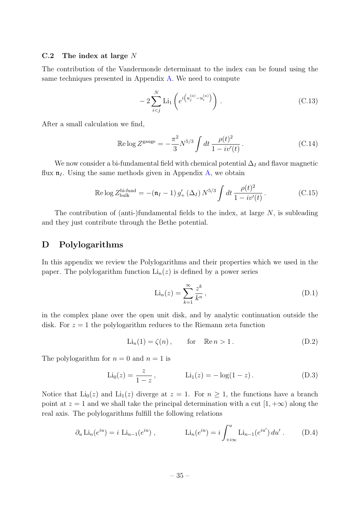#### <span id="page-35-0"></span>C.2 The index at large  $N$

The contribution of the Vandermonde determinant to the index can be found using the same techniques presented in Appendix [A.](#page-21-0) We need to compute

$$
-2\sum_{i
$$

After a small calculation we find,

$$
\text{Re}\log Z^{\text{gauge}} = -\frac{\pi^2}{3} N^{5/3} \int dt \, \frac{\rho(t)^2}{1 - i v'(t)} \,. \tag{C.14}
$$

We now consider a bi-fundamental field with chemical potential  $\Delta_I$  and flavor magnetic flux  $\mathfrak{n}_I$ . Using the same methods given in Appendix [A,](#page-21-0) we obtain

$$
\text{Re}\log Z_{\text{bulk}}^{\text{bi-fund}} = -(\mathfrak{n}_I - 1) g'_+ (\Delta_I) N^{5/3} \int dt \, \frac{\rho(t)^2}{1 - i v'(t)} \,. \tag{C.15}
$$

The contribution of (anti-)fundamental fields to the index, at large  $N$ , is subleading and they just contribute through the Bethe potential.

### <span id="page-35-1"></span>D Polylogarithms

In this appendix we review the Polylogarithms and their properties which we used in the paper. The polylogarithm function  $Li_n(z)$  is defined by a power series

$$
\text{Li}_n(z) = \sum_{k=1}^{\infty} \frac{z^k}{k^n},\tag{D.1}
$$

in the complex plane over the open unit disk, and by analytic continuation outside the disk. For  $z = 1$  the polylogarithm reduces to the Riemann zeta function

$$
\text{Li}_n(1) = \zeta(n), \qquad \text{for} \quad \mathbb{R}e \, n > 1. \tag{D.2}
$$

The polylogarithm for  $n = 0$  and  $n = 1$  is

$$
Li_0(z) = \frac{z}{1-z}
$$
,  $Li_1(z) = -\log(1-z)$ . (D.3)

Notice that  $Li_0(z)$  and  $Li_1(z)$  diverge at  $z = 1$ . For  $n \ge 1$ , the functions have a branch point at  $z = 1$  and we shall take the principal determination with a cut  $[1, +\infty)$  along the real axis. The polylogarithms fulfill the following relations

$$
\partial_u \text{Li}_n(e^{iu}) = i \text{Li}_{n-1}(e^{iu}),
$$
\n $\text{Li}_n(e^{iu}) = i \int_{+i\infty}^{u} \text{Li}_{n-1}(e^{iu'}) du'.$ \n(D.4)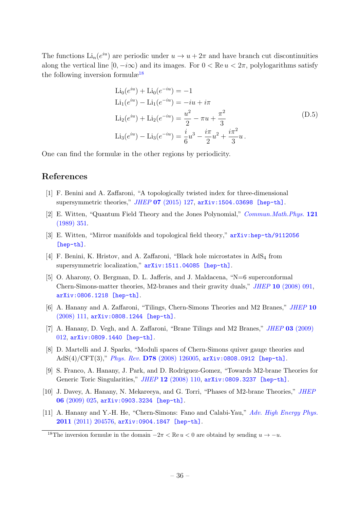The functions  $\text{Li}_n(e^{iu})$  are periodic under  $u \to u + 2\pi$  and have branch cut discontinuities along the vertical line  $[0, -i\infty)$  and its images. For  $0 < \mathbb{R}e$   $u < 2\pi$ , polylogarithms satisfy the following inversion formul $\mathbb{R}^{18}$  $\mathbb{R}^{18}$  $\mathbb{R}^{18}$ 

<span id="page-36-5"></span>
$$
\text{Li}_0(e^{iu}) + \text{Li}_0(e^{-iu}) = -1
$$
\n
$$
\text{Li}_1(e^{iu}) - \text{Li}_1(e^{-iu}) = -iu + i\pi
$$
\n
$$
\text{Li}_2(e^{iu}) + \text{Li}_2(e^{-iu}) = \frac{u^2}{2} - \pi u + \frac{\pi^2}{3}
$$
\n
$$
\text{Li}_3(e^{iu}) - \text{Li}_3(e^{-iu}) = \frac{i}{6}u^3 - \frac{i\pi}{2}u^2 + \frac{i\pi^2}{3}u.
$$
\n(D.5)

One can find the formulæ in the other regions by periodicity.

## References

- <span id="page-36-0"></span>[1] F. Benini and A. Zaffaroni, "A topologically twisted index for three-dimensional supersymmetric theories," JHEP 07 [\(2015\) 127,](http://dx.doi.org/10.1007/JHEP07(2015)127)  $arXiv:1504.03698$  [hep-th].
- <span id="page-36-1"></span>[2] E. Witten, "Quantum Field Theory and the Jones Polynomial," [Commun.Math.Phys.](http://dx.doi.org/10.1007/BF01217730) 121 [\(1989\) 351.](http://dx.doi.org/10.1007/BF01217730)
- <span id="page-36-2"></span>[3] E. Witten, "Mirror manifolds and topological field theory," [arXiv:hep-th/9112056](http://arxiv.org/abs/hep-th/9112056) [\[hep-th\]](http://arxiv.org/abs/hep-th/9112056).
- <span id="page-36-3"></span>[4] F. Benini, K. Hristov, and A. Zaffaroni, "Black hole microstates in  $AdS_4$  from supersymmetric localization,"  $arXiv:1511.04085$  [hep-th].
- <span id="page-36-4"></span>[5] O. Aharony, O. Bergman, D. L. Jafferis, and J. Maldacena, "N=6 superconformal Chern-Simons-matter theories, M2-branes and their gravity duals," JHEP 10 [\(2008\) 091,](http://dx.doi.org/10.1088/1126-6708/2008/10/091) [arXiv:0806.1218 \[hep-th\]](http://arxiv.org/abs/0806.1218).
- [6] A. Hanany and A. Zaffaroni, "Tilings, Chern-Simons Theories and M2 Branes," [JHEP](http://dx.doi.org/10.1088/1126-6708/2008/10/111) 10 [\(2008\) 111,](http://dx.doi.org/10.1088/1126-6708/2008/10/111) [arXiv:0808.1244 \[hep-th\]](http://arxiv.org/abs/0808.1244).
- [7] A. Hanany, D. Vegh, and A. Zaffaroni, "Brane Tilings and M2 Branes," JHEP 03 [\(2009\)](http://dx.doi.org/10.1088/1126-6708/2009/03/012) [012,](http://dx.doi.org/10.1088/1126-6708/2009/03/012) [arXiv:0809.1440 \[hep-th\]](http://arxiv.org/abs/0809.1440).
- [8] D. Martelli and J. Sparks, "Moduli spaces of Chern-Simons quiver gauge theories and AdS $(4)/CFT(3)$ ," Phys. Rev. D78 [\(2008\) 126005,](http://dx.doi.org/10.1103/PhysRevD.78.126005) [arXiv:0808.0912 \[hep-th\]](http://arxiv.org/abs/0808.0912).
- [9] S. Franco, A. Hanany, J. Park, and D. Rodriguez-Gomez, "Towards M2-brane Theories for Generic Toric Singularities," JHEP 12 [\(2008\) 110,](http://dx.doi.org/10.1088/1126-6708/2008/12/110) [arXiv:0809.3237 \[hep-th\]](http://arxiv.org/abs/0809.3237).
- [10] J. Davey, A. Hanany, N. Mekareeya, and G. Torri, "Phases of M2-brane Theories," [JHEP](http://dx.doi.org/10.1088/1126-6708/2009/06/025) 06 [\(2009\) 025,](http://dx.doi.org/10.1088/1126-6708/2009/06/025) [arXiv:0903.3234 \[hep-th\]](http://arxiv.org/abs/0903.3234).
- [11] A. Hanany and Y.-H. He, "Chern-Simons: Fano and Calabi-Yau," [Adv. High Energy Phys.](http://dx.doi.org/10.1155/2011/204576) 2011 [\(2011\) 204576,](http://dx.doi.org/10.1155/2011/204576) [arXiv:0904.1847 \[hep-th\]](http://arxiv.org/abs/0904.1847).

<span id="page-36-6"></span><sup>&</sup>lt;sup>18</sup>The inversion formulæ in the domain  $-2\pi < \mathbb{R}e u < 0$  are obtaind by sending  $u \to -u$ .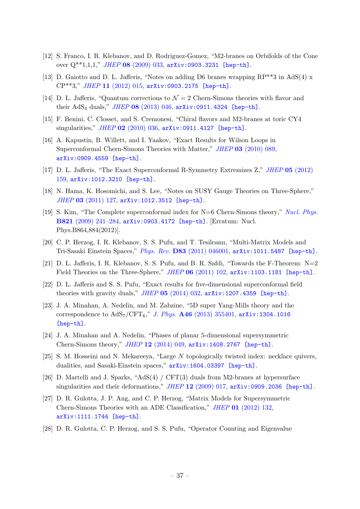- <span id="page-37-0"></span>[12] S. Franco, I. R. Klebanov, and D. Rodriguez-Gomez, "M2-branes on Orbifolds of the Cone over  $Q^{**}1,1,1,'$ , JHEP 08 [\(2009\) 033,](http://dx.doi.org/10.1088/1126-6708/2009/08/033) [arXiv:0903.3231 \[hep-th\]](http://arxiv.org/abs/0903.3231).
- <span id="page-37-1"></span>[13] D. Gaiotto and D. L. Jafferis, "Notes on adding D6 branes wrapping RP\*\*3 in AdS(4) x CP\*\*3," JHEP 11 [\(2012\) 015,](http://dx.doi.org/10.1007/JHEP11(2012)015) [arXiv:0903.2175 \[hep-th\]](http://arxiv.org/abs/0903.2175).
- [14] D. L. Jafferis, "Quantum corrections to  $\mathcal{N}=2$  Chern-Simons theories with flavor and their AdS<sub>4</sub> duals," *JHEP* 08 [\(2013\) 046,](http://dx.doi.org/10.1007/JHEP08(2013)046)  $arXiv:0911.4324$  [hep-th].
- <span id="page-37-2"></span>[15] F. Benini, C. Closset, and S. Cremonesi, "Chiral flavors and M2-branes at toric CY4 singularities," JHEP 02 [\(2010\) 036,](http://dx.doi.org/10.1007/JHEP02(2010)036) [arXiv:0911.4127 \[hep-th\]](http://arxiv.org/abs/0911.4127).
- <span id="page-37-3"></span>[16] A. Kapustin, B. Willett, and I. Yaakov, "Exact Results for Wilson Loops in Superconformal Chern-Simons Theories with Matter," JHEP 03 [\(2010\) 089,](http://dx.doi.org/10.1007/JHEP03(2010)089) [arXiv:0909.4559 \[hep-th\]](http://arxiv.org/abs/0909.4559).
- <span id="page-37-12"></span>[17] D. L. Jafferis, "The Exact Superconformal R-Symmetry Extremizes Z," JHEP 05 [\(2012\)](http://dx.doi.org/10.1007/JHEP05(2012)159) [159,](http://dx.doi.org/10.1007/JHEP05(2012)159) [arXiv:1012.3210 \[hep-th\]](http://arxiv.org/abs/1012.3210).
- <span id="page-37-4"></span>[18] N. Hama, K. Hosomichi, and S. Lee, "Notes on SUSY Gauge Theories on Three-Sphere," JHEP 03 [\(2011\) 127,](http://dx.doi.org/10.1007/JHEP03(2011)127) [arXiv:1012.3512 \[hep-th\]](http://arxiv.org/abs/1012.3512).
- <span id="page-37-5"></span>[19] S. Kim, "The Complete superconformal index for N=6 Chern-Simons theory," [Nucl. Phys.](http://dx.doi.org/10.1016/j.nuclphysb.2012.07.015, 10.1016/j.nuclphysb.2009.06.025) B821 [\(2009\) 241–284,](http://dx.doi.org/10.1016/j.nuclphysb.2012.07.015, 10.1016/j.nuclphysb.2009.06.025) [arXiv:0903.4172 \[hep-th\]](http://arxiv.org/abs/0903.4172). [Erratum: Nucl. Phys.B864,884(2012)].
- <span id="page-37-6"></span>[20] C. P. Herzog, I. R. Klebanov, S. S. Pufu, and T. Tesileanu, "Multi-Matrix Models and Tri-Sasaki Einstein Spaces," Phys. Rev. D83 [\(2011\) 046001,](http://dx.doi.org/10.1103/PhysRevD.83.046001) [arXiv:1011.5487 \[hep-th\]](http://arxiv.org/abs/1011.5487).
- <span id="page-37-7"></span>[21] D. L. Jafferis, I. R. Klebanov, S. S. Pufu, and B. R. Safdi, "Towards the F-Theorem: N=2 Field Theories on the Three-Sphere," JHEP 06 [\(2011\) 102,](http://dx.doi.org/10.1007/JHEP06(2011)102) [arXiv:1103.1181 \[hep-th\]](http://arxiv.org/abs/1103.1181).
- <span id="page-37-8"></span>[22] D. L. Jafferis and S. S. Pufu, "Exact results for five-dimensional superconformal field theories with gravity duals," JHEP  $05$  [\(2014\) 032,](http://dx.doi.org/10.1007/JHEP05(2014)032)  $arXiv:1207.4359$  [hep-th].
- [23] J. A. Minahan, A. Nedelin, and M. Zabzine, "5D super Yang-Mills theory and the correspondence to  $AdS_7/CFT_6$ ," J. Phys.  $\mathbf{A46}$  [\(2013\) 355401,](http://dx.doi.org/10.1088/1751-8113/46/35/355401)  $arXiv:1304.1016$ [\[hep-th\]](http://arxiv.org/abs/1304.1016).
- <span id="page-37-9"></span>[24] J. A. Minahan and A. Nedelin, "Phases of planar 5-dimensional supersymmetric Chern-Simons theory," JHEP 12 [\(2014\) 049,](http://dx.doi.org/10.1007/JHEP12(2014)049) [arXiv:1408.2767 \[hep-th\]](http://arxiv.org/abs/1408.2767).
- <span id="page-37-10"></span>[25] S. M. Hosseini and N. Mekareeya, "Large N topologically twisted index: necklace quivers, dualities, and Sasaki-Einstein spaces," [arXiv:1604.03397 \[hep-th\]](http://arxiv.org/abs/1604.03397).
- <span id="page-37-11"></span>[26] D. Martelli and J. Sparks, "AdS(4) / CFT(3) duals from M2-branes at hypersurface singularities and their deformations," JHEP  $12$  [\(2009\) 017,](http://dx.doi.org/10.1088/1126-6708/2009/12/017)  $arXiv:0909.2036$  [hep-th].
- <span id="page-37-13"></span>[27] D. R. Gulotta, J. P. Ang, and C. P. Herzog, "Matrix Models for Supersymmetric Chern-Simons Theories with an ADE Classification," JHEP 01 [\(2012\) 132,](http://dx.doi.org/10.1007/JHEP01(2012)132) [arXiv:1111.1744 \[hep-th\]](http://arxiv.org/abs/1111.1744).
- [28] D. R. Gulotta, C. P. Herzog, and S. S. Pufu, "Operator Counting and Eigenvalue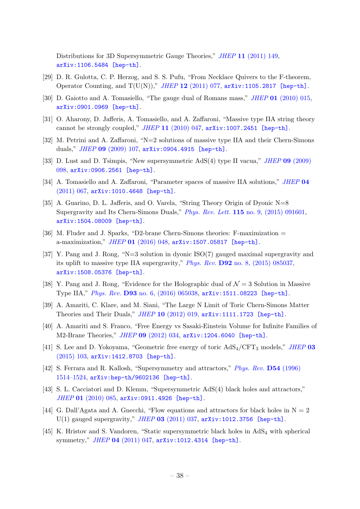Distributions for 3D Supersymmetric Gauge Theories," JHEP 11 [\(2011\) 149,](http://dx.doi.org/10.1007/JHEP11(2011)149) [arXiv:1106.5484 \[hep-th\]](http://arxiv.org/abs/1106.5484).

- <span id="page-38-0"></span>[29] D. R. Gulotta, C. P. Herzog, and S. S. Pufu, "From Necklace Quivers to the F-theorem, Operator Counting, and  $T(U(N)),$ " JHEP 12 [\(2011\) 077,](http://dx.doi.org/10.1007/JHEP12(2011)077) [arXiv:1105.2817 \[hep-th\]](http://arxiv.org/abs/1105.2817).
- <span id="page-38-1"></span>[30] D. Gaiotto and A. Tomasiello, "The gauge dual of Romans mass," JHEP 01 [\(2010\) 015,](http://dx.doi.org/10.1007/JHEP01(2010)015) [arXiv:0901.0969 \[hep-th\]](http://arxiv.org/abs/0901.0969).
- <span id="page-38-2"></span>[31] O. Aharony, D. Jafferis, A. Tomasiello, and A. Zaffaroni, "Massive type IIA string theory cannot be strongly coupled,"  $JHEP$  11 [\(2010\) 047,](http://dx.doi.org/10.1007/JHEP11(2010)047)  $arXiv:1007.2451$  [hep-th].
- [32] M. Petrini and A. Zaffaroni, "N=2 solutions of massive type IIA and their Chern-Simons duals," JHEP 09 [\(2009\) 107,](http://dx.doi.org/10.1088/1126-6708/2009/09/107) [arXiv:0904.4915 \[hep-th\]](http://arxiv.org/abs/0904.4915).
- [33] D. Lust and D. Tsimpis, "New supersymmetric AdS(4) type II vacua," JHEP 09 [\(2009\)](http://dx.doi.org/10.1088/1126-6708/2009/09/098) [098,](http://dx.doi.org/10.1088/1126-6708/2009/09/098) [arXiv:0906.2561 \[hep-th\]](http://arxiv.org/abs/0906.2561).
- [34] A. Tomasiello and A. Zaffaroni, "Parameter spaces of massive IIA solutions," [JHEP](http://dx.doi.org/10.1007/JHEP04(2011)067) 04 [\(2011\) 067,](http://dx.doi.org/10.1007/JHEP04(2011)067) [arXiv:1010.4648 \[hep-th\]](http://arxiv.org/abs/1010.4648).
- [35] A. Guarino, D. L. Jafferis, and O. Varela, "String Theory Origin of Dyonic N=8 Supergravity and Its Chern-Simons Duals," Phys. Rev. Lett. 115 [no. 9, \(2015\) 091601,](http://dx.doi.org/10.1103/PhysRevLett.115.091601) [arXiv:1504.08009 \[hep-th\]](http://arxiv.org/abs/1504.08009).
- <span id="page-38-4"></span>[36] M. Fluder and J. Sparks, "D2-brane Chern-Simons theories: F-maximization = a-maximization," JHEP 01 [\(2016\) 048,](http://dx.doi.org/10.1007/JHEP01(2016)048) [arXiv:1507.05817 \[hep-th\]](http://arxiv.org/abs/1507.05817).
- [37] Y. Pang and J. Rong, "N=3 solution in dyonic ISO(7) gauged maximal supergravity and its uplift to massive type IIA supergravity," Phys. Rev. D92 [no. 8, \(2015\) 085037,](http://dx.doi.org/10.1103/PhysRevD.92.085037) [arXiv:1508.05376 \[hep-th\]](http://arxiv.org/abs/1508.05376).
- <span id="page-38-3"></span>[38] Y. Pang and J. Rong, "Evidence for the Holographic dual of  $\mathcal{N}=3$  Solution in Massive Type IIA," Phys. Rev. D93 [no. 6, \(2016\) 065038,](http://dx.doi.org/10.1103/PhysRevD.93.065038) [arXiv:1511.08223 \[hep-th\]](http://arxiv.org/abs/1511.08223).
- <span id="page-38-5"></span>[39] A. Amariti, C. Klare, and M. Siani, "The Large N Limit of Toric Chern-Simons Matter Theories and Their Duals,"  $JHEP$  10 [\(2012\) 019,](http://dx.doi.org/10.1007/JHEP10(2012)019)  $arXiv:1111.1723$  [hep-th].
- [40] A. Amariti and S. Franco, "Free Energy vs Sasaki-Einstein Volume for Infinite Families of M2-Brane Theories," JHEP 09 [\(2012\) 034,](http://dx.doi.org/10.1007/JHEP09(2012)034) [arXiv:1204.6040 \[hep-th\]](http://arxiv.org/abs/1204.6040).
- <span id="page-38-6"></span>[41] S. Lee and D. Yokoyama, "Geometric free energy of toric  $AdS_4/CFT_3$  models," [JHEP](http://dx.doi.org/10.1007/JHEP03(2015)103) 03 [\(2015\) 103,](http://dx.doi.org/10.1007/JHEP03(2015)103) [arXiv:1412.8703 \[hep-th\]](http://arxiv.org/abs/1412.8703).
- <span id="page-38-7"></span>[42] S. Ferrara and R. Kallosh, "Supersymmetry and attractors," [Phys. Rev.](http://dx.doi.org/10.1103/PhysRevD.54.1514) D54 (1996) [1514–1524,](http://dx.doi.org/10.1103/PhysRevD.54.1514) [arXiv:hep-th/9602136 \[hep-th\]](http://arxiv.org/abs/hep-th/9602136).
- <span id="page-38-8"></span>[43] S. L. Cacciatori and D. Klemm, "Supersymmetric AdS(4) black holes and attractors," JHEP 01 [\(2010\) 085,](http://dx.doi.org/10.1007/JHEP01(2010)085) [arXiv:0911.4926 \[hep-th\]](http://arxiv.org/abs/0911.4926).
- <span id="page-38-9"></span>[44] G. Dall'Agata and A. Gnecchi, "Flow equations and attractors for black holes in  $N = 2$ U(1) gauged supergravity," JHEP 03 [\(2011\) 037,](http://dx.doi.org/10.1007/JHEP03(2011)037)  $arXiv:1012.3756$  [hep-th].
- [45] K. Hristov and S. Vandoren, "Static supersymmetric black holes in  $AdS_4$  with spherical symmetry," JHEP 04 [\(2011\) 047,](http://dx.doi.org/10.1007/JHEP04(2011)047) [arXiv:1012.4314 \[hep-th\]](http://arxiv.org/abs/1012.4314).